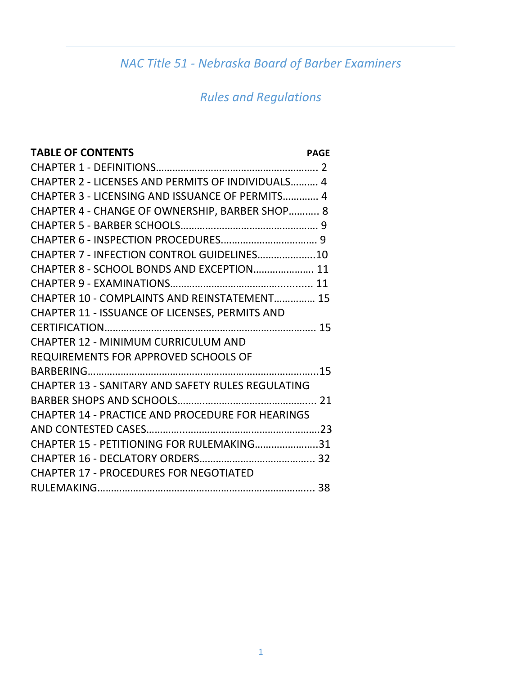# *NAC Title 51 - Nebraska Board of Barber Examiners*

# *Rules and Regulations*

| <b>TABLE OF CONTENTS</b>                                 | <b>PAGE</b> |
|----------------------------------------------------------|-------------|
|                                                          |             |
| CHAPTER 2 - LICENSES AND PERMITS OF INDIVIDUALS 4        |             |
| CHAPTER 3 - LICENSING AND ISSUANCE OF PERMITS 4          |             |
| CHAPTER 4 - CHANGE OF OWNERSHIP, BARBER SHOP 8           |             |
|                                                          |             |
|                                                          |             |
| CHAPTER 7 - INFECTION CONTROL GUIDELINES10               |             |
| CHAPTER 8 - SCHOOL BONDS AND EXCEPTION 11                |             |
|                                                          |             |
| CHAPTER 10 - COMPLAINTS AND REINSTATEMENT 15             |             |
| CHAPTER 11 - ISSUANCE OF LICENSES, PERMITS AND           |             |
|                                                          |             |
| <b>CHAPTER 12 - MINIMUM CURRICULUM AND</b>               |             |
| REQUIREMENTS FOR APPROVED SCHOOLS OF                     |             |
|                                                          |             |
| <b>CHAPTER 13 - SANITARY AND SAFETY RULES REGULATING</b> |             |
|                                                          |             |
| <b>CHAPTER 14 - PRACTICE AND PROCEDURE FOR HEARINGS</b>  |             |
|                                                          |             |
| CHAPTER 15 - PETITIONING FOR RULEMAKING31                |             |
|                                                          |             |
| <b>CHAPTER 17 - PROCEDURES FOR NEGOTIATED</b>            |             |
|                                                          |             |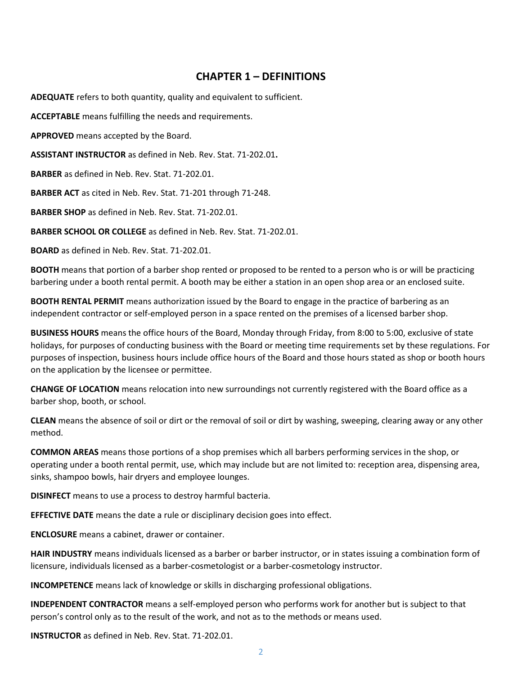### **CHAPTER 1 – DEFINITIONS**

**ADEQUATE** refers to both quantity, quality and equivalent to sufficient.

**ACCEPTABLE** means fulfilling the needs and requirements.

**APPROVED** means accepted by the Board.

**ASSISTANT INSTRUCTOR** as defined in Neb. Rev. Stat. 71-202.01**.**

**BARBER** as defined in Neb. Rev. Stat. 71-202.01.

**BARBER ACT** as cited in Neb. Rev. Stat. 71-201 through 71-248.

**BARBER SHOP** as defined in Neb. Rev. Stat. 71-202.01.

**BARBER SCHOOL OR COLLEGE** as defined in Neb. Rev. Stat. 71-202.01.

**BOARD** as defined in Neb. Rev. Stat. 71-202.01.

**BOOTH** means that portion of a barber shop rented or proposed to be rented to a person who is or will be practicing barbering under a booth rental permit. A booth may be either a station in an open shop area or an enclosed suite.

**BOOTH RENTAL PERMIT** means authorization issued by the Board to engage in the practice of barbering as an independent contractor or self-employed person in a space rented on the premises of a licensed barber shop.

**BUSINESS HOURS** means the office hours of the Board, Monday through Friday, from 8:00 to 5:00, exclusive of state holidays, for purposes of conducting business with the Board or meeting time requirements set by these regulations. For purposes of inspection, business hours include office hours of the Board and those hours stated as shop or booth hours on the application by the licensee or permittee.

**CHANGE OF LOCATION** means relocation into new surroundings not currently registered with the Board office as a barber shop, booth, or school.

**CLEAN** means the absence of soil or dirt or the removal of soil or dirt by washing, sweeping, clearing away or any other method.

**COMMON AREAS** means those portions of a shop premises which all barbers performing services in the shop, or operating under a booth rental permit, use, which may include but are not limited to: reception area, dispensing area, sinks, shampoo bowls, hair dryers and employee lounges.

**DISINFECT** means to use a process to destroy harmful bacteria.

**EFFECTIVE DATE** means the date a rule or disciplinary decision goes into effect.

**ENCLOSURE** means a cabinet, drawer or container.

**HAIR INDUSTRY** means individuals licensed as a barber or barber instructor, or in states issuing a combination form of licensure, individuals licensed as a barber-cosmetologist or a barber-cosmetology instructor.

**INCOMPETENCE** means lack of knowledge or skills in discharging professional obligations.

**INDEPENDENT CONTRACTOR** means a self-employed person who performs work for another but is subject to that person's control only as to the result of the work, and not as to the methods or means used.

**INSTRUCTOR** as defined in Neb. Rev. Stat. 71-202.01.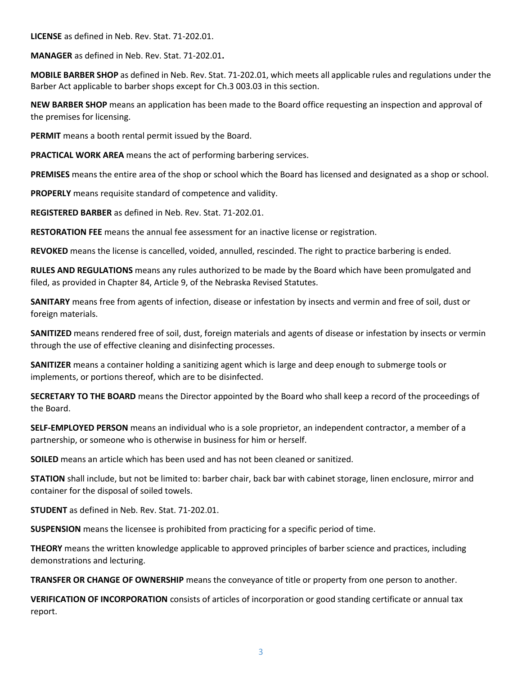**LICENSE** as defined in Neb. Rev. Stat. 71-202.01.

**MANAGER** as defined in Neb. Rev. Stat. 71-202.01**.**

**MOBILE BARBER SHOP** as defined in Neb. Rev. Stat. 71-202.01, which meets all applicable rules and regulations under the Barber Act applicable to barber shops except for Ch.3 003.03 in this section.

**NEW BARBER SHOP** means an application has been made to the Board office requesting an inspection and approval of the premises for licensing.

**PERMIT** means a booth rental permit issued by the Board.

**PRACTICAL WORK AREA** means the act of performing barbering services.

**PREMISES** means the entire area of the shop or school which the Board has licensed and designated as a shop or school.

**PROPERLY** means requisite standard of competence and validity.

**REGISTERED BARBER** as defined in Neb. Rev. Stat. 71-202.01.

**RESTORATION FEE** means the annual fee assessment for an inactive license or registration.

**REVOKED** means the license is cancelled, voided, annulled, rescinded. The right to practice barbering is ended.

**RULES AND REGULATIONS** means any rules authorized to be made by the Board which have been promulgated and filed, as provided in Chapter 84, Article 9, of the Nebraska Revised Statutes.

**SANITARY** means free from agents of infection, disease or infestation by insects and vermin and free of soil, dust or foreign materials.

**SANITIZED** means rendered free of soil, dust, foreign materials and agents of disease or infestation by insects or vermin through the use of effective cleaning and disinfecting processes.

**SANITIZER** means a container holding a sanitizing agent which is large and deep enough to submerge tools or implements, or portions thereof, which are to be disinfected.

**SECRETARY TO THE BOARD** means the Director appointed by the Board who shall keep a record of the proceedings of the Board.

**SELF-EMPLOYED PERSON** means an individual who is a sole proprietor, an independent contractor, a member of a partnership, or someone who is otherwise in business for him or herself.

**SOILED** means an article which has been used and has not been cleaned or sanitized.

**STATION** shall include, but not be limited to: barber chair, back bar with cabinet storage, linen enclosure, mirror and container for the disposal of soiled towels.

**STUDENT** as defined in Neb. Rev. Stat. 71-202.01.

**SUSPENSION** means the licensee is prohibited from practicing for a specific period of time.

**THEORY** means the written knowledge applicable to approved principles of barber science and practices, including demonstrations and lecturing.

**TRANSFER OR CHANGE OF OWNERSHIP** means the conveyance of title or property from one person to another.

**VERIFICATION OF INCORPORATION** consists of articles of incorporation or good standing certificate or annual tax report.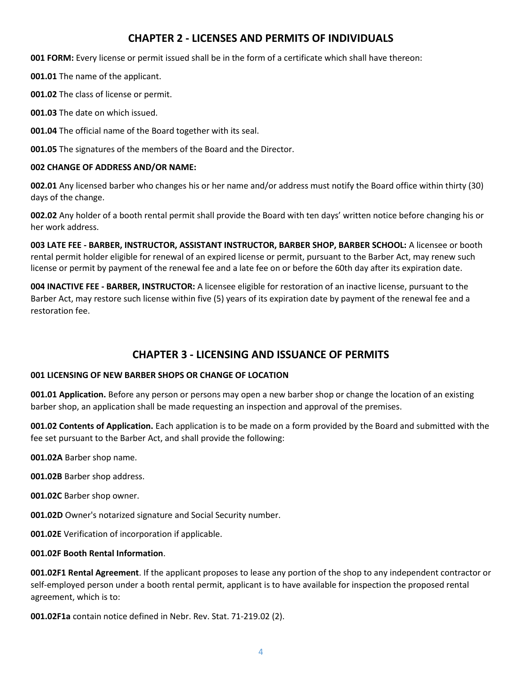## **CHAPTER 2 - LICENSES AND PERMITS OF INDIVIDUALS**

**001 FORM:** Every license or permit issued shall be in the form of a certificate which shall have thereon:

**001.01** The name of the applicant.

**001.02** The class of license or permit.

**001.03** The date on which issued.

**001.04** The official name of the Board together with its seal.

**001.05** The signatures of the members of the Board and the Director.

#### **002 CHANGE OF ADDRESS AND/OR NAME:**

**002.01** Any licensed barber who changes his or her name and/or address must notify the Board office within thirty (30) days of the change.

**002.02** Any holder of a booth rental permit shall provide the Board with ten days' written notice before changing his or her work address.

**003 LATE FEE - BARBER, INSTRUCTOR, ASSISTANT INSTRUCTOR, BARBER SHOP, BARBER SCHOOL:** A licensee or booth rental permit holder eligible for renewal of an expired license or permit, pursuant to the Barber Act, may renew such license or permit by payment of the renewal fee and a late fee on or before the 60th day after its expiration date.

**004 INACTIVE FEE - BARBER, INSTRUCTOR:** A licensee eligible for restoration of an inactive license, pursuant to the Barber Act, may restore such license within five (5) years of its expiration date by payment of the renewal fee and a restoration fee.

# **CHAPTER 3 - LICENSING AND ISSUANCE OF PERMITS**

#### **001 LICENSING OF NEW BARBER SHOPS OR CHANGE OF LOCATION**

**001.01 Application.** Before any person or persons may open a new barber shop or change the location of an existing barber shop, an application shall be made requesting an inspection and approval of the premises.

**001.02 Contents of Application.** Each application is to be made on a form provided by the Board and submitted with the fee set pursuant to the Barber Act, and shall provide the following:

**001.02A** Barber shop name.

**001.02B** Barber shop address.

**001.02C** Barber shop owner.

**001.02D** Owner's notarized signature and Social Security number.

**001.02E** Verification of incorporation if applicable.

#### **001.02F Booth Rental Information**.

**001.02F1 Rental Agreement**. If the applicant proposes to lease any portion of the shop to any independent contractor or self-employed person under a booth rental permit, applicant is to have available for inspection the proposed rental agreement, which is to:

**001.02F1a** contain notice defined in Nebr. Rev. Stat. 71-219.02 (2).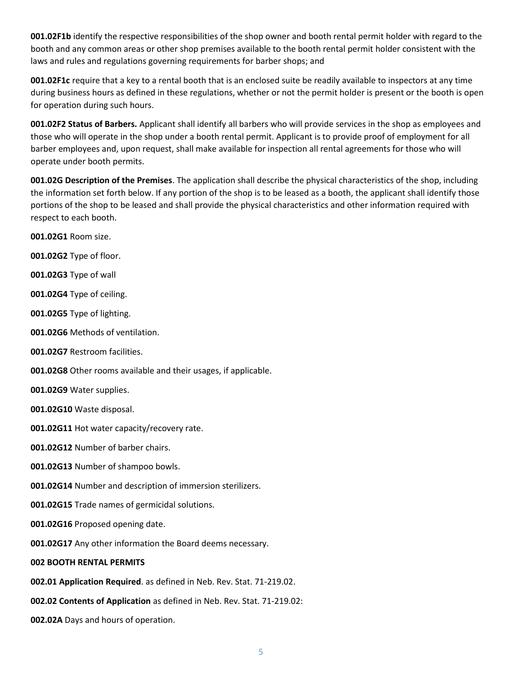**001.02F1b** identify the respective responsibilities of the shop owner and booth rental permit holder with regard to the booth and any common areas or other shop premises available to the booth rental permit holder consistent with the laws and rules and regulations governing requirements for barber shops; and

**001.02F1c** require that a key to a rental booth that is an enclosed suite be readily available to inspectors at any time during business hours as defined in these regulations, whether or not the permit holder is present or the booth is open for operation during such hours.

**001.02F2 Status of Barbers.** Applicant shall identify all barbers who will provide services in the shop as employees and those who will operate in the shop under a booth rental permit. Applicant is to provide proof of employment for all barber employees and, upon request, shall make available for inspection all rental agreements for those who will operate under booth permits.

**001.02G Description of the Premises**. The application shall describe the physical characteristics of the shop, including the information set forth below. If any portion of the shop is to be leased as a booth, the applicant shall identify those portions of the shop to be leased and shall provide the physical characteristics and other information required with respect to each booth.

**001.02G1** Room size.

**001.02G2** Type of floor.

**001.02G3** Type of wall

**001.02G4** Type of ceiling.

**001.02G5** Type of lighting.

**001.02G6** Methods of ventilation.

**001.02G7** Restroom facilities.

**001.02G8** Other rooms available and their usages, if applicable.

**001.02G9** Water supplies.

**001.02G10** Waste disposal.

**001.02G11** Hot water capacity/recovery rate.

**001.02G12** Number of barber chairs.

**001.02G13** Number of shampoo bowls.

**001.02G14** Number and description of immersion sterilizers.

**001.02G15** Trade names of germicidal solutions.

**001.02G16** Proposed opening date.

**001.02G17** Any other information the Board deems necessary.

**002 BOOTH RENTAL PERMITS** 

**002.01 Application Required**. as defined in Neb. Rev. Stat. 71-219.02.

**002.02 Contents of Application** as defined in Neb. Rev. Stat. 71-219.02:

**002.02A** Days and hours of operation.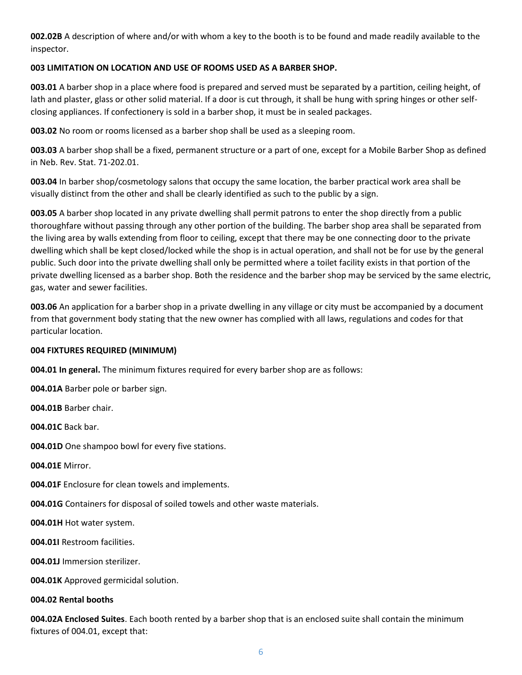**002.02B** A description of where and/or with whom a key to the booth is to be found and made readily available to the inspector.

#### **003 LIMITATION ON LOCATION AND USE OF ROOMS USED AS A BARBER SHOP.**

**003.01** A barber shop in a place where food is prepared and served must be separated by a partition, ceiling height, of lath and plaster, glass or other solid material. If a door is cut through, it shall be hung with spring hinges or other selfclosing appliances. If confectionery is sold in a barber shop, it must be in sealed packages.

**003.02** No room or rooms licensed as a barber shop shall be used as a sleeping room.

**003.03** A barber shop shall be a fixed, permanent structure or a part of one, except for a Mobile Barber Shop as defined in Neb. Rev. Stat. 71-202.01.

**003.04** In barber shop/cosmetology salons that occupy the same location, the barber practical work area shall be visually distinct from the other and shall be clearly identified as such to the public by a sign.

**003.05** A barber shop located in any private dwelling shall permit patrons to enter the shop directly from a public thoroughfare without passing through any other portion of the building. The barber shop area shall be separated from the living area by walls extending from floor to ceiling, except that there may be one connecting door to the private dwelling which shall be kept closed/locked while the shop is in actual operation, and shall not be for use by the general public. Such door into the private dwelling shall only be permitted where a toilet facility exists in that portion of the private dwelling licensed as a barber shop. Both the residence and the barber shop may be serviced by the same electric, gas, water and sewer facilities.

**003.06** An application for a barber shop in a private dwelling in any village or city must be accompanied by a document from that government body stating that the new owner has complied with all laws, regulations and codes for that particular location.

#### **004 FIXTURES REQUIRED (MINIMUM)**

**004.01 In general.** The minimum fixtures required for every barber shop are as follows:

**004.01A** Barber pole or barber sign.

**004.01B** Barber chair.

**004.01C** Back bar.

**004.01D** One shampoo bowl for every five stations.

**004.01E** Mirror.

**004.01F** Enclosure for clean towels and implements.

**004.01G** Containers for disposal of soiled towels and other waste materials.

**004.01H** Hot water system.

**004.01I** Restroom facilities.

**004.01J** Immersion sterilizer.

**004.01K** Approved germicidal solution.

#### **004.02 Rental booths**

**004.02A Enclosed Suites**. Each booth rented by a barber shop that is an enclosed suite shall contain the minimum fixtures of 004.01, except that: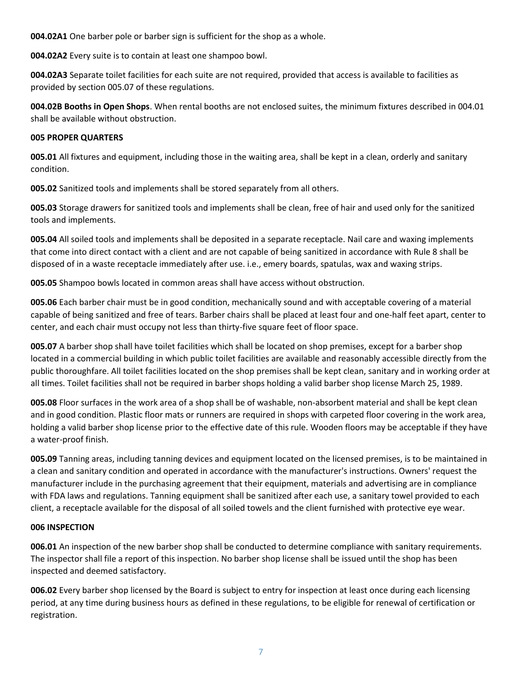**004.02A1** One barber pole or barber sign is sufficient for the shop as a whole.

**004.02A2** Every suite is to contain at least one shampoo bowl.

**004.02A3** Separate toilet facilities for each suite are not required, provided that access is available to facilities as provided by section 005.07 of these regulations.

**004.02B Booths in Open Shops**. When rental booths are not enclosed suites, the minimum fixtures described in 004.01 shall be available without obstruction.

#### **005 PROPER QUARTERS**

**005.01** All fixtures and equipment, including those in the waiting area, shall be kept in a clean, orderly and sanitary condition.

**005.02** Sanitized tools and implements shall be stored separately from all others.

**005.03** Storage drawers for sanitized tools and implements shall be clean, free of hair and used only for the sanitized tools and implements.

**005.04** All soiled tools and implements shall be deposited in a separate receptacle. Nail care and waxing implements that come into direct contact with a client and are not capable of being sanitized in accordance with Rule 8 shall be disposed of in a waste receptacle immediately after use. i.e., emery boards, spatulas, wax and waxing strips.

**005.05** Shampoo bowls located in common areas shall have access without obstruction.

**005.06** Each barber chair must be in good condition, mechanically sound and with acceptable covering of a material capable of being sanitized and free of tears. Barber chairs shall be placed at least four and one-half feet apart, center to center, and each chair must occupy not less than thirty-five square feet of floor space.

**005.07** A barber shop shall have toilet facilities which shall be located on shop premises, except for a barber shop located in a commercial building in which public toilet facilities are available and reasonably accessible directly from the public thoroughfare. All toilet facilities located on the shop premises shall be kept clean, sanitary and in working order at all times. Toilet facilities shall not be required in barber shops holding a valid barber shop license March 25, 1989.

**005.08** Floor surfaces in the work area of a shop shall be of washable, non-absorbent material and shall be kept clean and in good condition. Plastic floor mats or runners are required in shops with carpeted floor covering in the work area, holding a valid barber shop license prior to the effective date of this rule. Wooden floors may be acceptable if they have a water-proof finish.

**005.09** Tanning areas, including tanning devices and equipment located on the licensed premises, is to be maintained in a clean and sanitary condition and operated in accordance with the manufacturer's instructions. Owners' request the manufacturer include in the purchasing agreement that their equipment, materials and advertising are in compliance with FDA laws and regulations. Tanning equipment shall be sanitized after each use, a sanitary towel provided to each client, a receptacle available for the disposal of all soiled towels and the client furnished with protective eye wear.

#### **006 INSPECTION**

**006.01** An inspection of the new barber shop shall be conducted to determine compliance with sanitary requirements. The inspector shall file a report of this inspection. No barber shop license shall be issued until the shop has been inspected and deemed satisfactory.

**006.02** Every barber shop licensed by the Board is subject to entry for inspection at least once during each licensing period, at any time during business hours as defined in these regulations, to be eligible for renewal of certification or registration.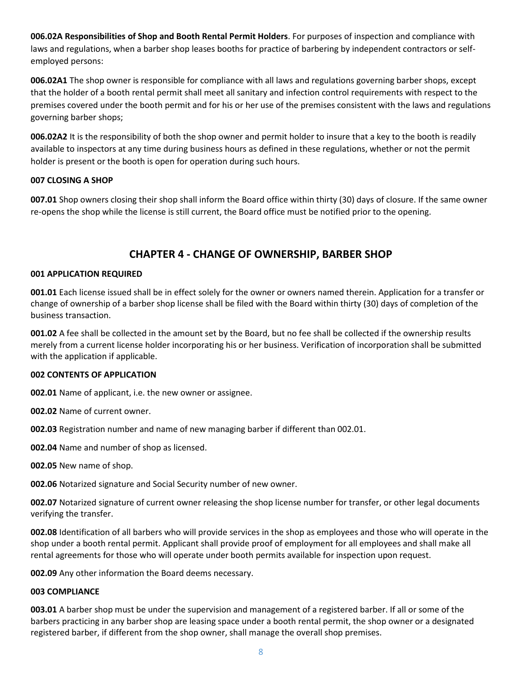**006.02A Responsibilities of Shop and Booth Rental Permit Holders**. For purposes of inspection and compliance with laws and regulations, when a barber shop leases booths for practice of barbering by independent contractors or selfemployed persons:

**006.02A1** The shop owner is responsible for compliance with all laws and regulations governing barber shops, except that the holder of a booth rental permit shall meet all sanitary and infection control requirements with respect to the premises covered under the booth permit and for his or her use of the premises consistent with the laws and regulations governing barber shops;

**006.02A2** It is the responsibility of both the shop owner and permit holder to insure that a key to the booth is readily available to inspectors at any time during business hours as defined in these regulations, whether or not the permit holder is present or the booth is open for operation during such hours.

#### **007 CLOSING A SHOP**

**007.01** Shop owners closing their shop shall inform the Board office within thirty (30) days of closure. If the same owner re-opens the shop while the license is still current, the Board office must be notified prior to the opening.

# **CHAPTER 4 - CHANGE OF OWNERSHIP, BARBER SHOP**

#### **001 APPLICATION REQUIRED**

**001.01** Each license issued shall be in effect solely for the owner or owners named therein. Application for a transfer or change of ownership of a barber shop license shall be filed with the Board within thirty (30) days of completion of the business transaction.

**001.02** A fee shall be collected in the amount set by the Board, but no fee shall be collected if the ownership results merely from a current license holder incorporating his or her business. Verification of incorporation shall be submitted with the application if applicable.

#### **002 CONTENTS OF APPLICATION**

**002.01** Name of applicant, i.e. the new owner or assignee.

**002.02** Name of current owner.

**002.03** Registration number and name of new managing barber if different than 002.01.

**002.04** Name and number of shop as licensed.

**002.05** New name of shop.

**002.06** Notarized signature and Social Security number of new owner.

**002.07** Notarized signature of current owner releasing the shop license number for transfer, or other legal documents verifying the transfer.

**002.08** Identification of all barbers who will provide services in the shop as employees and those who will operate in the shop under a booth rental permit. Applicant shall provide proof of employment for all employees and shall make all rental agreements for those who will operate under booth permits available for inspection upon request.

**002.09** Any other information the Board deems necessary.

#### **003 COMPLIANCE**

**003.01** A barber shop must be under the supervision and management of a registered barber. If all or some of the barbers practicing in any barber shop are leasing space under a booth rental permit, the shop owner or a designated registered barber, if different from the shop owner, shall manage the overall shop premises.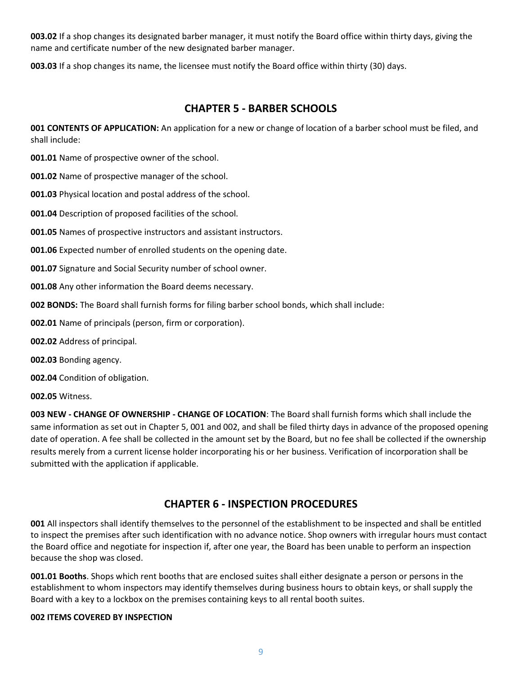**003.02** If a shop changes its designated barber manager, it must notify the Board office within thirty days, giving the name and certificate number of the new designated barber manager.

**003.03** If a shop changes its name, the licensee must notify the Board office within thirty (30) days.

# **CHAPTER 5 - BARBER SCHOOLS**

**001 CONTENTS OF APPLICATION:** An application for a new or change of location of a barber school must be filed, and shall include:

**001.01** Name of prospective owner of the school.

**001.02** Name of prospective manager of the school.

**001.03** Physical location and postal address of the school.

**001.04** Description of proposed facilities of the school.

**001.05** Names of prospective instructors and assistant instructors.

**001.06** Expected number of enrolled students on the opening date.

**001.07** Signature and Social Security number of school owner.

**001.08** Any other information the Board deems necessary.

**002 BONDS:** The Board shall furnish forms for filing barber school bonds, which shall include:

**002.01** Name of principals (person, firm or corporation).

**002.02** Address of principal.

**002.03** Bonding agency.

**002.04** Condition of obligation.

**002.05** Witness.

**003 NEW - CHANGE OF OWNERSHIP - CHANGE OF LOCATION**: The Board shall furnish forms which shall include the same information as set out in Chapter 5, 001 and 002, and shall be filed thirty days in advance of the proposed opening date of operation. A fee shall be collected in the amount set by the Board, but no fee shall be collected if the ownership results merely from a current license holder incorporating his or her business. Verification of incorporation shall be submitted with the application if applicable.

### **CHAPTER 6 - INSPECTION PROCEDURES**

**001** All inspectors shall identify themselves to the personnel of the establishment to be inspected and shall be entitled to inspect the premises after such identification with no advance notice. Shop owners with irregular hours must contact the Board office and negotiate for inspection if, after one year, the Board has been unable to perform an inspection because the shop was closed.

**001.01 Booths**. Shops which rent booths that are enclosed suites shall either designate a person or persons in the establishment to whom inspectors may identify themselves during business hours to obtain keys, or shall supply the Board with a key to a lockbox on the premises containing keys to all rental booth suites.

#### **002 ITEMS COVERED BY INSPECTION**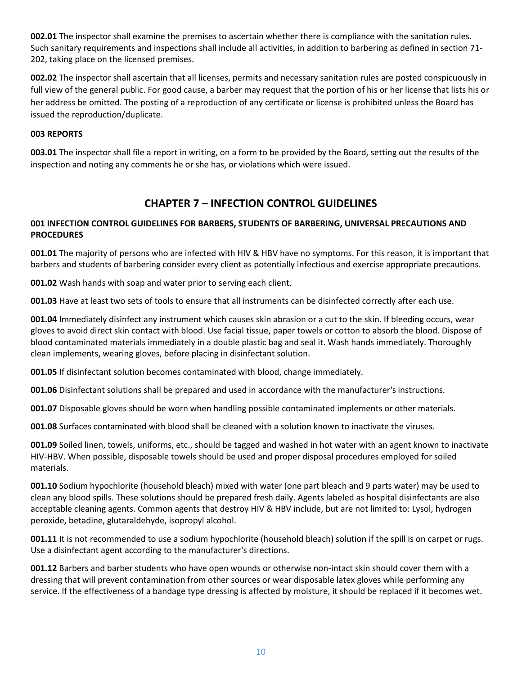**002.01** The inspector shall examine the premises to ascertain whether there is compliance with the sanitation rules. Such sanitary requirements and inspections shall include all activities, in addition to barbering as defined in section 71- 202, taking place on the licensed premises.

**002.02** The inspector shall ascertain that all licenses, permits and necessary sanitation rules are posted conspicuously in full view of the general public. For good cause, a barber may request that the portion of his or her license that lists his or her address be omitted. The posting of a reproduction of any certificate or license is prohibited unless the Board has issued the reproduction/duplicate.

#### **003 REPORTS**

**003.01** The inspector shall file a report in writing, on a form to be provided by the Board, setting out the results of the inspection and noting any comments he or she has, or violations which were issued.

### **CHAPTER 7 – INFECTION CONTROL GUIDELINES**

#### **001 INFECTION CONTROL GUIDELINES FOR BARBERS, STUDENTS OF BARBERING, UNIVERSAL PRECAUTIONS AND PROCEDURES**

**001.01** The majority of persons who are infected with HIV & HBV have no symptoms. For this reason, it is important that barbers and students of barbering consider every client as potentially infectious and exercise appropriate precautions.

**001.02** Wash hands with soap and water prior to serving each client.

**001.03** Have at least two sets of tools to ensure that all instruments can be disinfected correctly after each use.

**001.04** Immediately disinfect any instrument which causes skin abrasion or a cut to the skin. If bleeding occurs, wear gloves to avoid direct skin contact with blood. Use facial tissue, paper towels or cotton to absorb the blood. Dispose of blood contaminated materials immediately in a double plastic bag and seal it. Wash hands immediately. Thoroughly clean implements, wearing gloves, before placing in disinfectant solution.

**001.05** If disinfectant solution becomes contaminated with blood, change immediately.

**001.06** Disinfectant solutions shall be prepared and used in accordance with the manufacturer's instructions.

**001.07** Disposable gloves should be worn when handling possible contaminated implements or other materials.

**001.08** Surfaces contaminated with blood shall be cleaned with a solution known to inactivate the viruses.

**001.09** Soiled linen, towels, uniforms, etc., should be tagged and washed in hot water with an agent known to inactivate HIV-HBV. When possible, disposable towels should be used and proper disposal procedures employed for soiled materials.

**001.10** Sodium hypochlorite (household bleach) mixed with water (one part bleach and 9 parts water) may be used to clean any blood spills. These solutions should be prepared fresh daily. Agents labeled as hospital disinfectants are also acceptable cleaning agents. Common agents that destroy HIV & HBV include, but are not limited to: Lysol, hydrogen peroxide, betadine, glutaraldehyde, isopropyl alcohol.

**001.11** It is not recommended to use a sodium hypochlorite (household bleach) solution if the spill is on carpet or rugs. Use a disinfectant agent according to the manufacturer's directions.

**001.12** Barbers and barber students who have open wounds or otherwise non-intact skin should cover them with a dressing that will prevent contamination from other sources or wear disposable latex gloves while performing any service. If the effectiveness of a bandage type dressing is affected by moisture, it should be replaced if it becomes wet.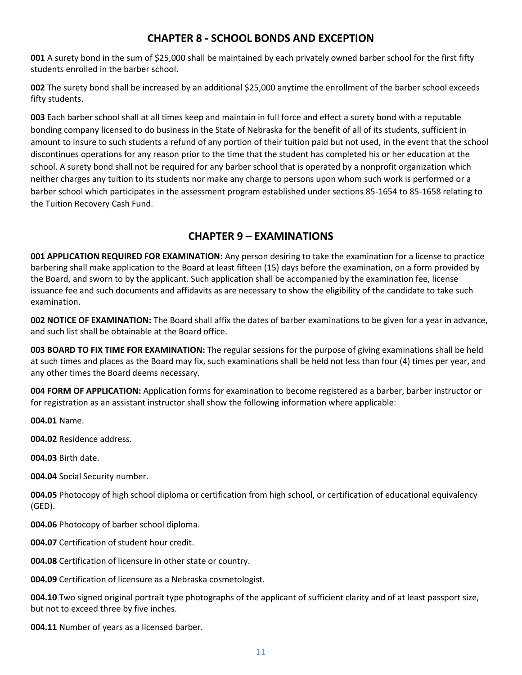# **CHAPTER 8 - SCHOOL BONDS AND EXCEPTION**

**001** A surety bond in the sum of \$25,000 shall be maintained by each privately owned barber school for the first fifty students enrolled in the barber school.

**002** The surety bond shall be increased by an additional \$25,000 anytime the enrollment of the barber school exceeds fifty students.

**003** Each barber school shall at all times keep and maintain in full force and effect a surety bond with a reputable bonding company licensed to do business in the State of Nebraska for the benefit of all of its students, sufficient in amount to insure to such students a refund of any portion of their tuition paid but not used, in the event that the school discontinues operations for any reason prior to the time that the student has completed his or her education at the school. A surety bond shall not be required for any barber school that is operated by a nonprofit organization which neither charges any tuition to its students nor make any charge to persons upon whom such work is performed or a barber school which participates in the assessment program established under sections 85-1654 to 85-1658 relating to the Tuition Recovery Cash Fund.

# **CHAPTER 9 – EXAMINATIONS**

**001 APPLICATION REQUIRED FOR EXAMINATION:** Any person desiring to take the examination for a license to practice barbering shall make application to the Board at least fifteen (15) days before the examination, on a form provided by the Board, and sworn to by the applicant. Such application shall be accompanied by the examination fee, license issuance fee and such documents and affidavits as are necessary to show the eligibility of the candidate to take such examination.

**002 NOTICE OF EXAMINATION:** The Board shall affix the dates of barber examinations to be given for a year in advance, and such list shall be obtainable at the Board office.

**003 BOARD TO FIX TIME FOR EXAMINATION:** The regular sessions for the purpose of giving examinations shall be held at such times and places as the Board may fix, such examinations shall be held not less than four (4) times per year, and any other times the Board deems necessary.

**004 FORM OF APPLICATION:** Application forms for examination to become registered as a barber, barber instructor or for registration as an assistant instructor shall show the following information where applicable:

**004.01** Name.

**004.02** Residence address.

**004.03** Birth date.

**004.04** Social Security number.

**004.05** Photocopy of high school diploma or certification from high school, or certification of educational equivalency (GED).

**004.06** Photocopy of barber school diploma.

**004.07** Certification of student hour credit.

**004.08** Certification of licensure in other state or country.

**004.09** Certification of licensure as a Nebraska cosmetologist.

**004.10** Two signed original portrait type photographs of the applicant of sufficient clarity and of at least passport size, but not to exceed three by five inches.

**004.11** Number of years as a licensed barber.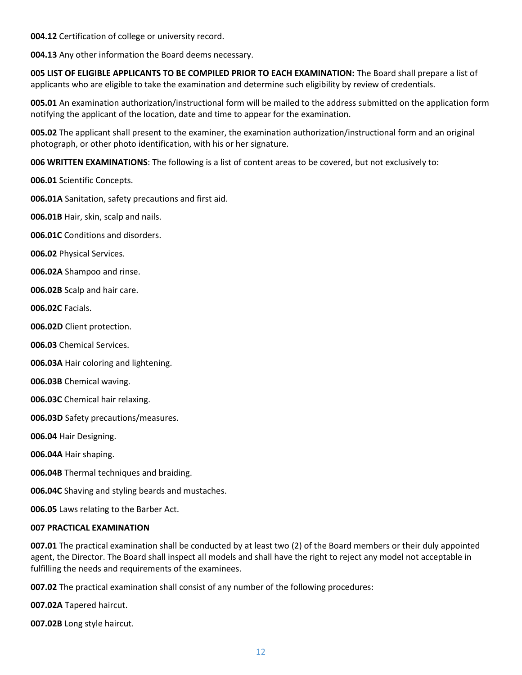**004.12** Certification of college or university record.

**004.13** Any other information the Board deems necessary.

**005 LIST OF ELIGIBLE APPLICANTS TO BE COMPILED PRIOR TO EACH EXAMINATION:** The Board shall prepare a list of applicants who are eligible to take the examination and determine such eligibility by review of credentials.

**005.01** An examination authorization/instructional form will be mailed to the address submitted on the application form notifying the applicant of the location, date and time to appear for the examination.

**005.02** The applicant shall present to the examiner, the examination authorization/instructional form and an original photograph, or other photo identification, with his or her signature.

**006 WRITTEN EXAMINATIONS**: The following is a list of content areas to be covered, but not exclusively to:

**006.01** Scientific Concepts.

**006.01A** Sanitation, safety precautions and first aid.

**006.01B** Hair, skin, scalp and nails.

**006.01C** Conditions and disorders.

**006.02** Physical Services.

**006.02A** Shampoo and rinse.

**006.02B** Scalp and hair care.

**006.02C** Facials.

**006.02D** Client protection.

**006.03** Chemical Services.

**006.03A** Hair coloring and lightening.

**006.03B** Chemical waving.

**006.03C** Chemical hair relaxing.

**006.03D** Safety precautions/measures.

**006.04** Hair Designing.

**006.04A** Hair shaping.

**006.04B** Thermal techniques and braiding.

**006.04C** Shaving and styling beards and mustaches.

**006.05** Laws relating to the Barber Act.

#### **007 PRACTICAL EXAMINATION**

**007.01** The practical examination shall be conducted by at least two (2) of the Board members or their duly appointed agent, the Director. The Board shall inspect all models and shall have the right to reject any model not acceptable in fulfilling the needs and requirements of the examinees.

**007.02** The practical examination shall consist of any number of the following procedures:

**007.02A** Tapered haircut.

**007.02B** Long style haircut.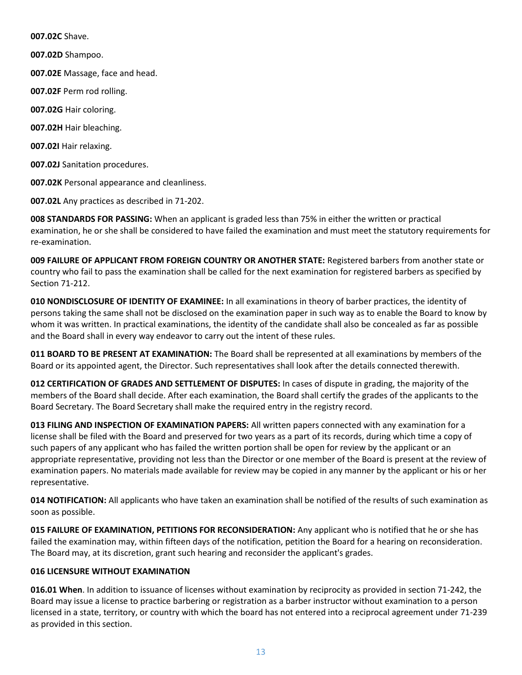**007.02C** Shave.

**007.02D** Shampoo.

**007.02E** Massage, face and head.

**007.02F** Perm rod rolling.

**007.02G** Hair coloring.

**007.02H** Hair bleaching.

**007.02I** Hair relaxing.

**007.02J** Sanitation procedures.

**007.02K** Personal appearance and cleanliness.

**007.02L** Any practices as described in 71-202.

**008 STANDARDS FOR PASSING:** When an applicant is graded less than 75% in either the written or practical examination, he or she shall be considered to have failed the examination and must meet the statutory requirements for re-examination.

**009 FAILURE OF APPLICANT FROM FOREIGN COUNTRY OR ANOTHER STATE:** Registered barbers from another state or country who fail to pass the examination shall be called for the next examination for registered barbers as specified by Section 71-212.

**010 NONDISCLOSURE OF IDENTITY OF EXAMINEE:** In all examinations in theory of barber practices, the identity of persons taking the same shall not be disclosed on the examination paper in such way as to enable the Board to know by whom it was written. In practical examinations, the identity of the candidate shall also be concealed as far as possible and the Board shall in every way endeavor to carry out the intent of these rules.

**011 BOARD TO BE PRESENT AT EXAMINATION:** The Board shall be represented at all examinations by members of the Board or its appointed agent, the Director. Such representatives shall look after the details connected therewith.

**012 CERTIFICATION OF GRADES AND SETTLEMENT OF DISPUTES:** In cases of dispute in grading, the majority of the members of the Board shall decide. After each examination, the Board shall certify the grades of the applicants to the Board Secretary. The Board Secretary shall make the required entry in the registry record.

**013 FILING AND INSPECTION OF EXAMINATION PAPERS:** All written papers connected with any examination for a license shall be filed with the Board and preserved for two years as a part of its records, during which time a copy of such papers of any applicant who has failed the written portion shall be open for review by the applicant or an appropriate representative, providing not less than the Director or one member of the Board is present at the review of examination papers. No materials made available for review may be copied in any manner by the applicant or his or her representative.

**014 NOTIFICATION:** All applicants who have taken an examination shall be notified of the results of such examination as soon as possible.

**015 FAILURE OF EXAMINATION, PETITIONS FOR RECONSIDERATION:** Any applicant who is notified that he or she has failed the examination may, within fifteen days of the notification, petition the Board for a hearing on reconsideration. The Board may, at its discretion, grant such hearing and reconsider the applicant's grades.

#### **016 LICENSURE WITHOUT EXAMINATION**

**016.01 When**. In addition to issuance of licenses without examination by reciprocity as provided in section 71-242, the Board may issue a license to practice barbering or registration as a barber instructor without examination to a person licensed in a state, territory, or country with which the board has not entered into a reciprocal agreement under 71-239 as provided in this section.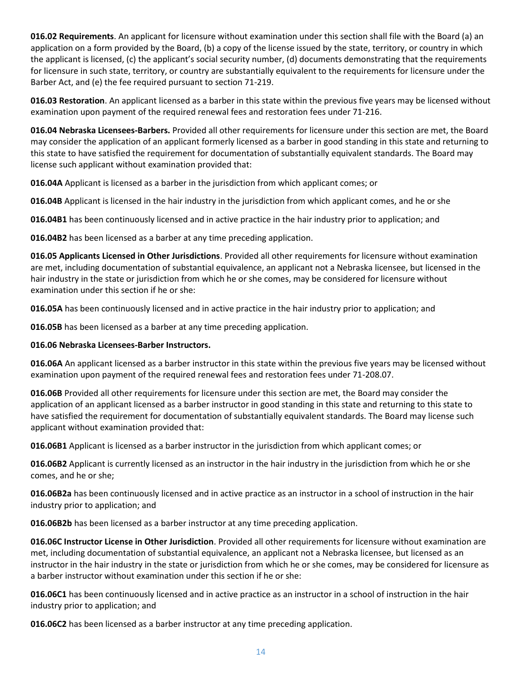**016.02 Requirements**. An applicant for licensure without examination under this section shall file with the Board (a) an application on a form provided by the Board, (b) a copy of the license issued by the state, territory, or country in which the applicant is licensed, (c) the applicant's social security number, (d) documents demonstrating that the requirements for licensure in such state, territory, or country are substantially equivalent to the requirements for licensure under the Barber Act, and (e) the fee required pursuant to section 71-219.

**016.03 Restoration**. An applicant licensed as a barber in this state within the previous five years may be licensed without examination upon payment of the required renewal fees and restoration fees under 71-216.

**016.04 Nebraska Licensees-Barbers.** Provided all other requirements for licensure under this section are met, the Board may consider the application of an applicant formerly licensed as a barber in good standing in this state and returning to this state to have satisfied the requirement for documentation of substantially equivalent standards. The Board may license such applicant without examination provided that:

**016.04A** Applicant is licensed as a barber in the jurisdiction from which applicant comes; or

**016.04B** Applicant is licensed in the hair industry in the jurisdiction from which applicant comes, and he or she

**016.04B1** has been continuously licensed and in active practice in the hair industry prior to application; and

**016.04B2** has been licensed as a barber at any time preceding application.

**016.05 Applicants Licensed in Other Jurisdictions**. Provided all other requirements for licensure without examination are met, including documentation of substantial equivalence, an applicant not a Nebraska licensee, but licensed in the hair industry in the state or jurisdiction from which he or she comes, may be considered for licensure without examination under this section if he or she:

**016.05A** has been continuously licensed and in active practice in the hair industry prior to application; and

**016.05B** has been licensed as a barber at any time preceding application.

#### **016.06 Nebraska Licensees-Barber Instructors.**

**016.06A** An applicant licensed as a barber instructor in this state within the previous five years may be licensed without examination upon payment of the required renewal fees and restoration fees under 71-208.07.

**016.06B** Provided all other requirements for licensure under this section are met, the Board may consider the application of an applicant licensed as a barber instructor in good standing in this state and returning to this state to have satisfied the requirement for documentation of substantially equivalent standards. The Board may license such applicant without examination provided that:

**016.06B1** Applicant is licensed as a barber instructor in the jurisdiction from which applicant comes; or

**016.06B2** Applicant is currently licensed as an instructor in the hair industry in the jurisdiction from which he or she comes, and he or she;

**016.06B2a** has been continuously licensed and in active practice as an instructor in a school of instruction in the hair industry prior to application; and

**016.06B2b** has been licensed as a barber instructor at any time preceding application.

**016.06C Instructor License in Other Jurisdiction**. Provided all other requirements for licensure without examination are met, including documentation of substantial equivalence, an applicant not a Nebraska licensee, but licensed as an instructor in the hair industry in the state or jurisdiction from which he or she comes, may be considered for licensure as a barber instructor without examination under this section if he or she:

**016.06C1** has been continuously licensed and in active practice as an instructor in a school of instruction in the hair industry prior to application; and

**016.06C2** has been licensed as a barber instructor at any time preceding application.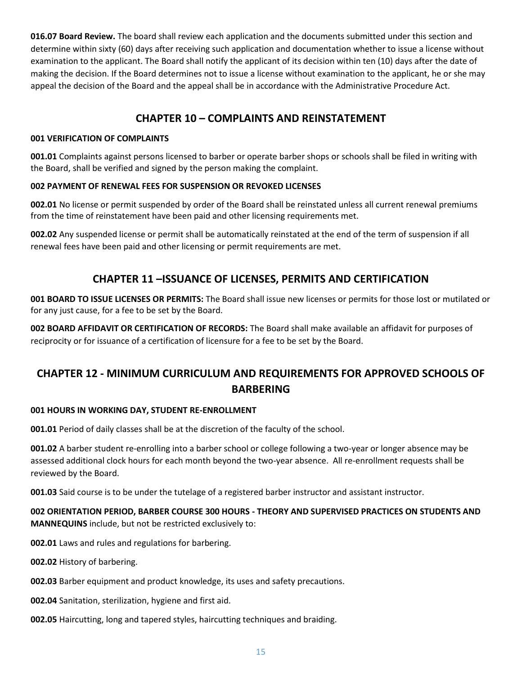**016.07 Board Review.** The board shall review each application and the documents submitted under this section and determine within sixty (60) days after receiving such application and documentation whether to issue a license without examination to the applicant. The Board shall notify the applicant of its decision within ten (10) days after the date of making the decision. If the Board determines not to issue a license without examination to the applicant, he or she may appeal the decision of the Board and the appeal shall be in accordance with the Administrative Procedure Act.

# **CHAPTER 10 – COMPLAINTS AND REINSTATEMENT**

#### **001 VERIFICATION OF COMPLAINTS**

**001.01** Complaints against persons licensed to barber or operate barber shops or schools shall be filed in writing with the Board, shall be verified and signed by the person making the complaint.

#### **002 PAYMENT OF RENEWAL FEES FOR SUSPENSION OR REVOKED LICENSES**

**002.01** No license or permit suspended by order of the Board shall be reinstated unless all current renewal premiums from the time of reinstatement have been paid and other licensing requirements met.

**002.02** Any suspended license or permit shall be automatically reinstated at the end of the term of suspension if all renewal fees have been paid and other licensing or permit requirements are met.

# **CHAPTER 11 –ISSUANCE OF LICENSES, PERMITS AND CERTIFICATION**

**001 BOARD TO ISSUE LICENSES OR PERMITS:** The Board shall issue new licenses or permits for those lost or mutilated or for any just cause, for a fee to be set by the Board.

**002 BOARD AFFIDAVIT OR CERTIFICATION OF RECORDS:** The Board shall make available an affidavit for purposes of reciprocity or for issuance of a certification of licensure for a fee to be set by the Board.

# **CHAPTER 12 - MINIMUM CURRICULUM AND REQUIREMENTS FOR APPROVED SCHOOLS OF BARBERING**

#### **001 HOURS IN WORKING DAY, STUDENT RE-ENROLLMENT**

**001.01** Period of daily classes shall be at the discretion of the faculty of the school.

**001.02** A barber student re-enrolling into a barber school or college following a two-year or longer absence may be assessed additional clock hours for each month beyond the two-year absence. All re-enrollment requests shall be reviewed by the Board.

**001.03** Said course is to be under the tutelage of a registered barber instructor and assistant instructor.

**002 ORIENTATION PERIOD, BARBER COURSE 300 HOURS - THEORY AND SUPERVISED PRACTICES ON STUDENTS AND MANNEQUINS** include, but not be restricted exclusively to:

**002.01** Laws and rules and regulations for barbering.

**002.02** History of barbering.

**002.03** Barber equipment and product knowledge, its uses and safety precautions.

**002.04** Sanitation, sterilization, hygiene and first aid.

**002.05** Haircutting, long and tapered styles, haircutting techniques and braiding.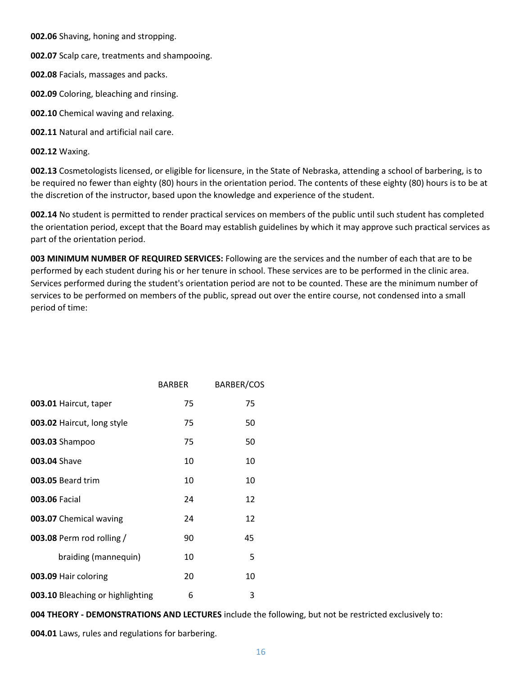**002.06** Shaving, honing and stropping.

**002.07** Scalp care, treatments and shampooing.

**002.08** Facials, massages and packs.

**002.09** Coloring, bleaching and rinsing.

**002.10** Chemical waving and relaxing.

**002.11** Natural and artificial nail care.

**002.12** Waxing.

**002.13** Cosmetologists licensed, or eligible for licensure, in the State of Nebraska, attending a school of barbering, is to be required no fewer than eighty (80) hours in the orientation period. The contents of these eighty (80) hours is to be at the discretion of the instructor, based upon the knowledge and experience of the student.

**002.14** No student is permitted to render practical services on members of the public until such student has completed the orientation period, except that the Board may establish guidelines by which it may approve such practical services as part of the orientation period.

**003 MINIMUM NUMBER OF REQUIRED SERVICES:** Following are the services and the number of each that are to be performed by each student during his or her tenure in school. These services are to be performed in the clinic area. Services performed during the student's orientation period are not to be counted. These are the minimum number of services to be performed on members of the public, spread out over the entire course, not condensed into a small period of time:

|                                  | <b>BARBER</b> | <b>BARBER/COS</b> |
|----------------------------------|---------------|-------------------|
| 003.01 Haircut, taper            | 75            | 75                |
| 003.02 Haircut, long style       | 75            | 50                |
| 003.03 Shampoo                   | 75            | 50                |
| 003.04 Shave                     | 10            | 10                |
| 003.05 Beard trim                | 10            | 10                |
| <b>003.06 Facial</b>             | 24            | 12                |
| 003.07 Chemical waving           | 24            | 12                |
| 003.08 Perm rod rolling /        | 90            | 45                |
| braiding (mannequin)             | 10            | 5                 |
| 003.09 Hair coloring             | 20            | 10                |
| 003.10 Bleaching or highlighting | 6             | 3                 |

**004 THEORY - DEMONSTRATIONS AND LECTURES** include the following, but not be restricted exclusively to:

**004.01** Laws, rules and regulations for barbering.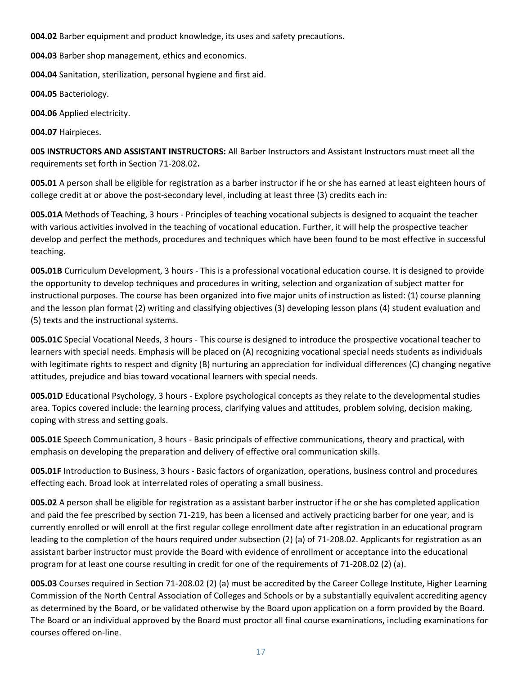**004.02** Barber equipment and product knowledge, its uses and safety precautions.

**004.03** Barber shop management, ethics and economics.

**004.04** Sanitation, sterilization, personal hygiene and first aid.

**004.05** Bacteriology.

**004.06** Applied electricity.

**004.07** Hairpieces.

**005 INSTRUCTORS AND ASSISTANT INSTRUCTORS:** All Barber Instructors and Assistant Instructors must meet all the requirements set forth in Section 71-208.02**.** 

**005.01** A person shall be eligible for registration as a barber instructor if he or she has earned at least eighteen hours of college credit at or above the post-secondary level, including at least three (3) credits each in:

**005.01A** Methods of Teaching, 3 hours - Principles of teaching vocational subjects is designed to acquaint the teacher with various activities involved in the teaching of vocational education. Further, it will help the prospective teacher develop and perfect the methods, procedures and techniques which have been found to be most effective in successful teaching.

**005.01B** Curriculum Development, 3 hours - This is a professional vocational education course. It is designed to provide the opportunity to develop techniques and procedures in writing, selection and organization of subject matter for instructional purposes. The course has been organized into five major units of instruction as listed: (1) course planning and the lesson plan format (2) writing and classifying objectives (3) developing lesson plans (4) student evaluation and (5) texts and the instructional systems.

**005.01C** Special Vocational Needs, 3 hours - This course is designed to introduce the prospective vocational teacher to learners with special needs. Emphasis will be placed on (A) recognizing vocational special needs students as individuals with legitimate rights to respect and dignity (B) nurturing an appreciation for individual differences (C) changing negative attitudes, prejudice and bias toward vocational learners with special needs.

**005.01D** Educational Psychology, 3 hours - Explore psychological concepts as they relate to the developmental studies area. Topics covered include: the learning process, clarifying values and attitudes, problem solving, decision making, coping with stress and setting goals.

**005.01E** Speech Communication, 3 hours - Basic principals of effective communications, theory and practical, with emphasis on developing the preparation and delivery of effective oral communication skills.

**005.01F** Introduction to Business, 3 hours - Basic factors of organization, operations, business control and procedures effecting each. Broad look at interrelated roles of operating a small business.

**005.02** A person shall be eligible for registration as a assistant barber instructor if he or she has completed application and paid the fee prescribed by section 71-219, has been a licensed and actively practicing barber for one year, and is currently enrolled or will enroll at the first regular college enrollment date after registration in an educational program leading to the completion of the hours required under subsection (2) (a) of 71-208.02. Applicants for registration as an assistant barber instructor must provide the Board with evidence of enrollment or acceptance into the educational program for at least one course resulting in credit for one of the requirements of 71-208.02 (2) (a).

**005.03** Courses required in Section 71-208.02 (2) (a) must be accredited by the Career College Institute, Higher Learning Commission of the North Central Association of Colleges and Schools or by a substantially equivalent accrediting agency as determined by the Board, or be validated otherwise by the Board upon application on a form provided by the Board. The Board or an individual approved by the Board must proctor all final course examinations, including examinations for courses offered on-line.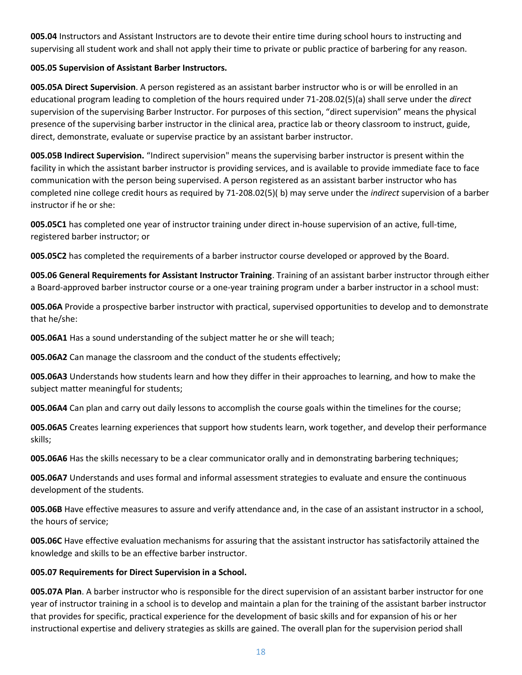**005.04** Instructors and Assistant Instructors are to devote their entire time during school hours to instructing and supervising all student work and shall not apply their time to private or public practice of barbering for any reason.

#### **005.05 Supervision of Assistant Barber Instructors.**

**005.05A Direct Supervision**. A person registered as an assistant barber instructor who is or will be enrolled in an educational program leading to completion of the hours required under 71-208.02(5)(a) shall serve under the *direct*  supervision of the supervising Barber Instructor. For purposes of this section, "direct supervision" means the physical presence of the supervising barber instructor in the clinical area, practice lab or theory classroom to instruct, guide, direct, demonstrate, evaluate or supervise practice by an assistant barber instructor.

**005.05B Indirect Supervision.** "Indirect supervision" means the supervising barber instructor is present within the facility in which the assistant barber instructor is providing services, and is available to provide immediate face to face communication with the person being supervised. A person registered as an assistant barber instructor who has completed nine college credit hours as required by 71-208.02(5)( b) may serve under the *indirect* supervision of a barber instructor if he or she:

**005.05C1** has completed one year of instructor training under direct in-house supervision of an active, full-time, registered barber instructor; or

**005.05C2** has completed the requirements of a barber instructor course developed or approved by the Board.

**005.06 General Requirements for Assistant Instructor Training**. Training of an assistant barber instructor through either a Board-approved barber instructor course or a one-year training program under a barber instructor in a school must:

**005.06A** Provide a prospective barber instructor with practical, supervised opportunities to develop and to demonstrate that he/she:

**005.06A1** Has a sound understanding of the subject matter he or she will teach;

**005.06A2** Can manage the classroom and the conduct of the students effectively;

**005.06A3** Understands how students learn and how they differ in their approaches to learning, and how to make the subject matter meaningful for students;

**005.06A4** Can plan and carry out daily lessons to accomplish the course goals within the timelines for the course;

**005.06A5** Creates learning experiences that support how students learn, work together, and develop their performance skills;

**005.06A6** Has the skills necessary to be a clear communicator orally and in demonstrating barbering techniques;

**005.06A7** Understands and uses formal and informal assessment strategies to evaluate and ensure the continuous development of the students.

**005.06B** Have effective measures to assure and verify attendance and, in the case of an assistant instructor in a school, the hours of service;

**005.06C** Have effective evaluation mechanisms for assuring that the assistant instructor has satisfactorily attained the knowledge and skills to be an effective barber instructor.

#### **005.07 Requirements for Direct Supervision in a School.**

**005.07A Plan**. A barber instructor who is responsible for the direct supervision of an assistant barber instructor for one year of instructor training in a school is to develop and maintain a plan for the training of the assistant barber instructor that provides for specific, practical experience for the development of basic skills and for expansion of his or her instructional expertise and delivery strategies as skills are gained. The overall plan for the supervision period shall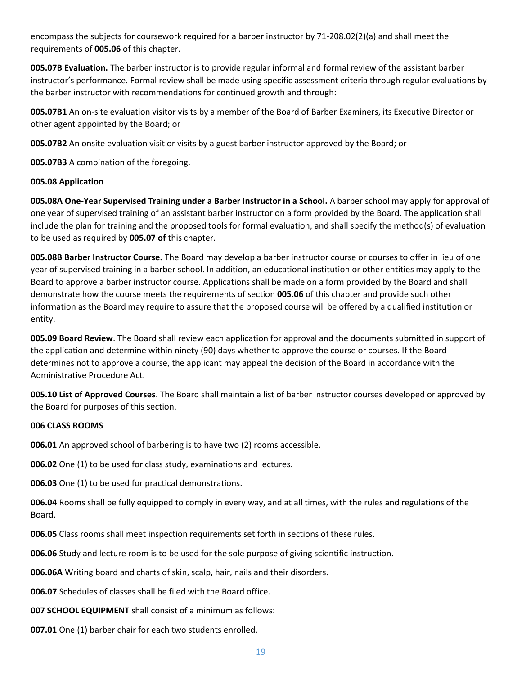encompass the subjects for coursework required for a barber instructor by 71-208.02(2)(a) and shall meet the requirements of **005.06** of this chapter.

**005.07B Evaluation.** The barber instructor is to provide regular informal and formal review of the assistant barber instructor's performance. Formal review shall be made using specific assessment criteria through regular evaluations by the barber instructor with recommendations for continued growth and through:

**005.07B1** An on-site evaluation visitor visits by a member of the Board of Barber Examiners, its Executive Director or other agent appointed by the Board; or

**005.07B2** An onsite evaluation visit or visits by a guest barber instructor approved by the Board; or

**005.07B3** A combination of the foregoing.

#### **005.08 Application**

**005.08A One-Year Supervised Training under a Barber Instructor in a School.** A barber school may apply for approval of one year of supervised training of an assistant barber instructor on a form provided by the Board. The application shall include the plan for training and the proposed tools for formal evaluation, and shall specify the method(s) of evaluation to be used as required by **005.07 of** this chapter.

**005.08B Barber Instructor Course.** The Board may develop a barber instructor course or courses to offer in lieu of one year of supervised training in a barber school. In addition, an educational institution or other entities may apply to the Board to approve a barber instructor course. Applications shall be made on a form provided by the Board and shall demonstrate how the course meets the requirements of section **005.06** of this chapter and provide such other information as the Board may require to assure that the proposed course will be offered by a qualified institution or entity.

**005.09 Board Review**. The Board shall review each application for approval and the documents submitted in support of the application and determine within ninety (90) days whether to approve the course or courses. If the Board determines not to approve a course, the applicant may appeal the decision of the Board in accordance with the Administrative Procedure Act.

**005.10 List of Approved Courses**. The Board shall maintain a list of barber instructor courses developed or approved by the Board for purposes of this section.

#### **006 CLASS ROOMS**

**006.01** An approved school of barbering is to have two (2) rooms accessible.

**006.02** One (1) to be used for class study, examinations and lectures.

**006.03** One (1) to be used for practical demonstrations.

**006.04** Rooms shall be fully equipped to comply in every way, and at all times, with the rules and regulations of the Board.

**006.05** Class rooms shall meet inspection requirements set forth in sections of these rules.

**006.06** Study and lecture room is to be used for the sole purpose of giving scientific instruction.

**006.06A** Writing board and charts of skin, scalp, hair, nails and their disorders.

**006.07** Schedules of classes shall be filed with the Board office.

**007 SCHOOL EQUIPMENT** shall consist of a minimum as follows:

**007.01** One (1) barber chair for each two students enrolled.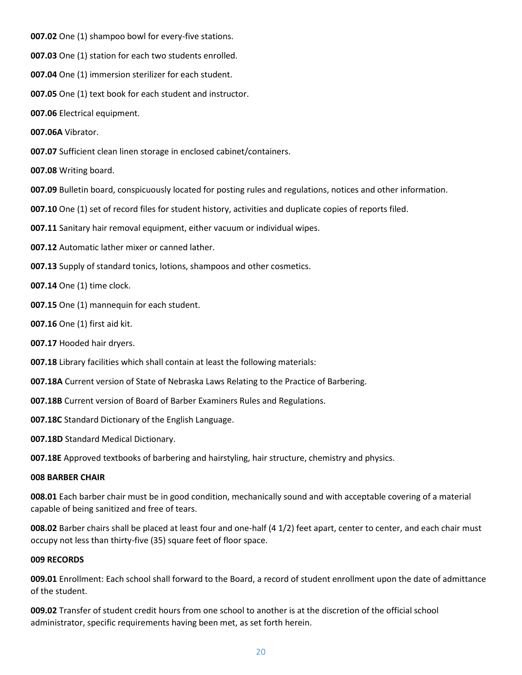**007.02** One (1) shampoo bowl for every-five stations.

**007.03** One (1) station for each two students enrolled.

**007.04** One (1) immersion sterilizer for each student.

**007.05** One (1) text book for each student and instructor.

**007.06** Electrical equipment.

**007.06A** Vibrator.

**007.07** Sufficient clean linen storage in enclosed cabinet/containers.

**007.08** Writing board.

**007.09** Bulletin board, conspicuously located for posting rules and regulations, notices and other information.

**007.10** One (1) set of record files for student history, activities and duplicate copies of reports filed.

**007.11** Sanitary hair removal equipment, either vacuum or individual wipes.

**007.12** Automatic lather mixer or canned lather.

**007.13** Supply of standard tonics, lotions, shampoos and other cosmetics.

**007.14** One (1) time clock.

**007.15** One (1) mannequin for each student.

**007.16** One (1) first aid kit.

**007.17** Hooded hair dryers.

**007.18** Library facilities which shall contain at least the following materials:

**007.18A** Current version of State of Nebraska Laws Relating to the Practice of Barbering.

**007.18B** Current version of Board of Barber Examiners Rules and Regulations.

**007.18C** Standard Dictionary of the English Language.

**007.18D** Standard Medical Dictionary.

**007.18E** Approved textbooks of barbering and hairstyling, hair structure, chemistry and physics.

#### **008 BARBER CHAIR**

**008.01** Each barber chair must be in good condition, mechanically sound and with acceptable covering of a material capable of being sanitized and free of tears.

**008.02** Barber chairs shall be placed at least four and one-half (4 1/2) feet apart, center to center, and each chair must occupy not less than thirty-five (35) square feet of floor space.

#### **009 RECORDS**

**009.01** Enrollment: Each school shall forward to the Board, a record of student enrollment upon the date of admittance of the student.

**009.02** Transfer of student credit hours from one school to another is at the discretion of the official school administrator, specific requirements having been met, as set forth herein.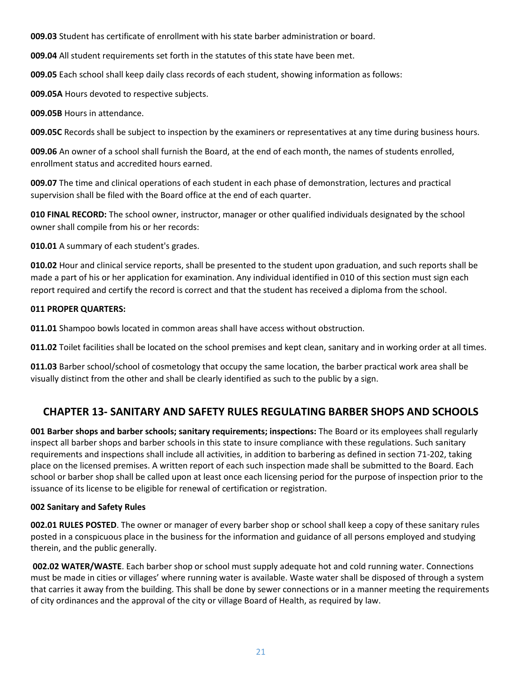**009.03** Student has certificate of enrollment with his state barber administration or board.

**009.04** All student requirements set forth in the statutes of this state have been met.

**009.05** Each school shall keep daily class records of each student, showing information as follows:

**009.05A** Hours devoted to respective subjects.

**009.05B** Hours in attendance.

**009.05C** Records shall be subject to inspection by the examiners or representatives at any time during business hours.

**009.06** An owner of a school shall furnish the Board, at the end of each month, the names of students enrolled, enrollment status and accredited hours earned.

**009.07** The time and clinical operations of each student in each phase of demonstration, lectures and practical supervision shall be filed with the Board office at the end of each quarter.

**010 FINAL RECORD:** The school owner, instructor, manager or other qualified individuals designated by the school owner shall compile from his or her records:

**010.01** A summary of each student's grades.

**010.02** Hour and clinical service reports, shall be presented to the student upon graduation, and such reports shall be made a part of his or her application for examination. Any individual identified in 010 of this section must sign each report required and certify the record is correct and that the student has received a diploma from the school.

#### **011 PROPER QUARTERS:**

**011.01** Shampoo bowls located in common areas shall have access without obstruction.

**011.02** Toilet facilities shall be located on the school premises and kept clean, sanitary and in working order at all times.

**011.03** Barber school/school of cosmetology that occupy the same location, the barber practical work area shall be visually distinct from the other and shall be clearly identified as such to the public by a sign.

### **CHAPTER 13- SANITARY AND SAFETY RULES REGULATING BARBER SHOPS AND SCHOOLS**

**001 Barber shops and barber schools; sanitary requirements; inspections:** The Board or its employees shall regularly inspect all barber shops and barber schools in this state to insure compliance with these regulations. Such sanitary requirements and inspections shall include all activities, in addition to barbering as defined in section 71-202, taking place on the licensed premises. A written report of each such inspection made shall be submitted to the Board. Each school or barber shop shall be called upon at least once each licensing period for the purpose of inspection prior to the issuance of its license to be eligible for renewal of certification or registration.

#### **002 Sanitary and Safety Rules**

**002.01 RULES POSTED**. The owner or manager of every barber shop or school shall keep a copy of these sanitary rules posted in a conspicuous place in the business for the information and guidance of all persons employed and studying therein, and the public generally.

**002.02 WATER/WASTE**. Each barber shop or school must supply adequate hot and cold running water. Connections must be made in cities or villages' where running water is available. Waste water shall be disposed of through a system that carries it away from the building. This shall be done by sewer connections or in a manner meeting the requirements of city ordinances and the approval of the city or village Board of Health, as required by law.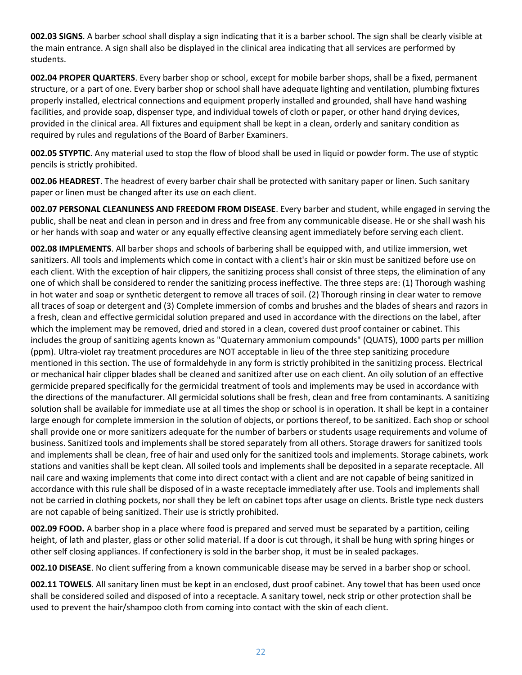**002.03 SIGNS**. A barber school shall display a sign indicating that it is a barber school. The sign shall be clearly visible at the main entrance. A sign shall also be displayed in the clinical area indicating that all services are performed by students.

**002.04 PROPER QUARTERS**. Every barber shop or school, except for mobile barber shops, shall be a fixed, permanent structure, or a part of one. Every barber shop or school shall have adequate lighting and ventilation, plumbing fixtures properly installed, electrical connections and equipment properly installed and grounded, shall have hand washing facilities, and provide soap, dispenser type, and individual towels of cloth or paper, or other hand drying devices, provided in the clinical area. All fixtures and equipment shall be kept in a clean, orderly and sanitary condition as required by rules and regulations of the Board of Barber Examiners.

**002.05 STYPTIC**. Any material used to stop the flow of blood shall be used in liquid or powder form. The use of styptic pencils is strictly prohibited.

**002.06 HEADREST**. The headrest of every barber chair shall be protected with sanitary paper or linen. Such sanitary paper or linen must be changed after its use on each client.

**002.07 PERSONAL CLEANLINESS AND FREEDOM FROM DISEASE**. Every barber and student, while engaged in serving the public, shall be neat and clean in person and in dress and free from any communicable disease. He or she shall wash his or her hands with soap and water or any equally effective cleansing agent immediately before serving each client.

**002.08 IMPLEMENTS**. All barber shops and schools of barbering shall be equipped with, and utilize immersion, wet sanitizers. All tools and implements which come in contact with a client's hair or skin must be sanitized before use on each client. With the exception of hair clippers, the sanitizing process shall consist of three steps, the elimination of any one of which shall be considered to render the sanitizing process ineffective. The three steps are: (1) Thorough washing in hot water and soap or synthetic detergent to remove all traces of soil. (2) Thorough rinsing in clear water to remove all traces of soap or detergent and (3) Complete immersion of combs and brushes and the blades of shears and razors in a fresh, clean and effective germicidal solution prepared and used in accordance with the directions on the label, after which the implement may be removed, dried and stored in a clean, covered dust proof container or cabinet. This includes the group of sanitizing agents known as "Quaternary ammonium compounds" (QUATS), 1000 parts per million (ppm). Ultra-violet ray treatment procedures are NOT acceptable in lieu of the three step sanitizing procedure mentioned in this section. The use of formaldehyde in any form is strictly prohibited in the sanitizing process. Electrical or mechanical hair clipper blades shall be cleaned and sanitized after use on each client. An oily solution of an effective germicide prepared specifically for the germicidal treatment of tools and implements may be used in accordance with the directions of the manufacturer. All germicidal solutions shall be fresh, clean and free from contaminants. A sanitizing solution shall be available for immediate use at all times the shop or school is in operation. It shall be kept in a container large enough for complete immersion in the solution of objects, or portions thereof, to be sanitized. Each shop or school shall provide one or more sanitizers adequate for the number of barbers or students usage requirements and volume of business. Sanitized tools and implements shall be stored separately from all others. Storage drawers for sanitized tools and implements shall be clean, free of hair and used only for the sanitized tools and implements. Storage cabinets, work stations and vanities shall be kept clean. All soiled tools and implements shall be deposited in a separate receptacle. All nail care and waxing implements that come into direct contact with a client and are not capable of being sanitized in accordance with this rule shall be disposed of in a waste receptacle immediately after use. Tools and implements shall not be carried in clothing pockets, nor shall they be left on cabinet tops after usage on clients. Bristle type neck dusters are not capable of being sanitized. Their use is strictly prohibited.

**002.09 FOOD.** A barber shop in a place where food is prepared and served must be separated by a partition, ceiling height, of lath and plaster, glass or other solid material. If a door is cut through, it shall be hung with spring hinges or other self closing appliances. If confectionery is sold in the barber shop, it must be in sealed packages.

**002.10 DISEASE**. No client suffering from a known communicable disease may be served in a barber shop or school.

**002.11 TOWELS**. All sanitary linen must be kept in an enclosed, dust proof cabinet. Any towel that has been used once shall be considered soiled and disposed of into a receptacle. A sanitary towel, neck strip or other protection shall be used to prevent the hair/shampoo cloth from coming into contact with the skin of each client.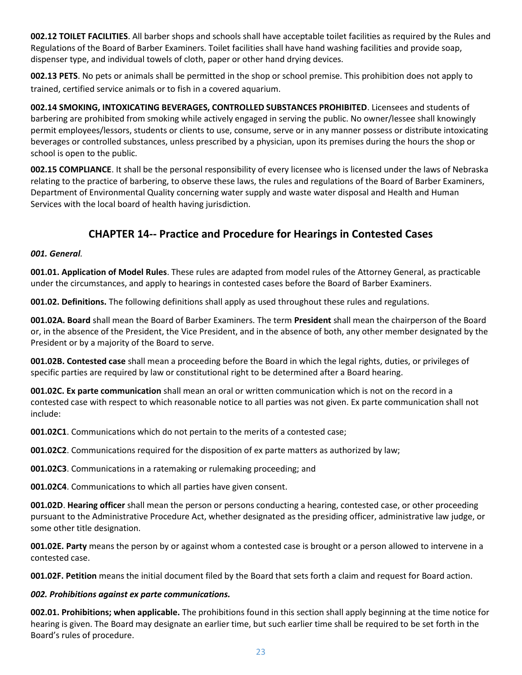**002.12 TOILET FACILITIES**. All barber shops and schools shall have acceptable toilet facilities as required by the Rules and Regulations of the Board of Barber Examiners. Toilet facilities shall have hand washing facilities and provide soap, dispenser type, and individual towels of cloth, paper or other hand drying devices.

**002.13 PETS**. No pets or animals shall be permitted in the shop or school premise. This prohibition does not apply to trained, certified service animals or to fish in a covered aquarium.

**002.14 SMOKING, INTOXICATING BEVERAGES, CONTROLLED SUBSTANCES PROHIBITED**. Licensees and students of barbering are prohibited from smoking while actively engaged in serving the public. No owner/lessee shall knowingly permit employees/lessors, students or clients to use, consume, serve or in any manner possess or distribute intoxicating beverages or controlled substances, unless prescribed by a physician, upon its premises during the hours the shop or school is open to the public.

**002.15 COMPLIANCE**. It shall be the personal responsibility of every licensee who is licensed under the laws of Nebraska relating to the practice of barbering, to observe these laws, the rules and regulations of the Board of Barber Examiners, Department of Environmental Quality concerning water supply and waste water disposal and Health and Human Services with the local board of health having jurisdiction.

# **CHAPTER 14-- Practice and Procedure for Hearings in Contested Cases**

#### *001. General.*

**001.01. Application of Model Rules**. These rules are adapted from model rules of the Attorney General, as practicable under the circumstances, and apply to hearings in contested cases before the Board of Barber Examiners.

**001.02. Definitions.** The following definitions shall apply as used throughout these rules and regulations.

**001.02A. Board** shall mean the Board of Barber Examiners. The term **President** shall mean the chairperson of the Board or, in the absence of the President, the Vice President, and in the absence of both, any other member designated by the President or by a majority of the Board to serve.

**001.02B. Contested case** shall mean a proceeding before the Board in which the legal rights, duties, or privileges of specific parties are required by law or constitutional right to be determined after a Board hearing.

**001.02C. Ex parte communication** shall mean an oral or written communication which is not on the record in a contested case with respect to which reasonable notice to all parties was not given. Ex parte communication shall not include:

**001.02C1**. Communications which do not pertain to the merits of a contested case;

**001.02C2**. Communications required for the disposition of ex parte matters as authorized by law;

**001.02C3**. Communications in a ratemaking or rulemaking proceeding; and

**001.02C4**. Communications to which all parties have given consent.

**001.02D**. **Hearing officer** shall mean the person or persons conducting a hearing, contested case, or other proceeding pursuant to the Administrative Procedure Act, whether designated as the presiding officer, administrative law judge, or some other title designation.

**001.02E. Party** means the person by or against whom a contested case is brought or a person allowed to intervene in a contested case.

**001.02F. Petition** means the initial document filed by the Board that sets forth a claim and request for Board action.

#### *002. Prohibitions against ex parte communications.*

**002.01. Prohibitions; when applicable.** The prohibitions found in this section shall apply beginning at the time notice for hearing is given. The Board may designate an earlier time, but such earlier time shall be required to be set forth in the Board's rules of procedure.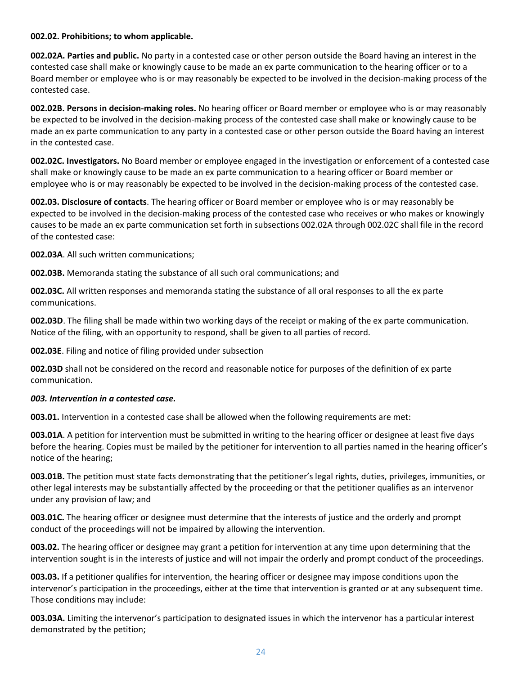#### **002.02. Prohibitions; to whom applicable.**

**002.02A. Parties and public.** No party in a contested case or other person outside the Board having an interest in the contested case shall make or knowingly cause to be made an ex parte communication to the hearing officer or to a Board member or employee who is or may reasonably be expected to be involved in the decision-making process of the contested case.

**002.02B. Persons in decision-making roles.** No hearing officer or Board member or employee who is or may reasonably be expected to be involved in the decision-making process of the contested case shall make or knowingly cause to be made an ex parte communication to any party in a contested case or other person outside the Board having an interest in the contested case.

**002.02C. Investigators.** No Board member or employee engaged in the investigation or enforcement of a contested case shall make or knowingly cause to be made an ex parte communication to a hearing officer or Board member or employee who is or may reasonably be expected to be involved in the decision-making process of the contested case.

**002.03. Disclosure of contacts**. The hearing officer or Board member or employee who is or may reasonably be expected to be involved in the decision-making process of the contested case who receives or who makes or knowingly causes to be made an ex parte communication set forth in subsections 002.02A through 002.02C shall file in the record of the contested case:

**002.03A**. All such written communications;

**002.03B.** Memoranda stating the substance of all such oral communications; and

**002.03C.** All written responses and memoranda stating the substance of all oral responses to all the ex parte communications.

**002.03D**. The filing shall be made within two working days of the receipt or making of the ex parte communication. Notice of the filing, with an opportunity to respond, shall be given to all parties of record.

**002.03E**. Filing and notice of filing provided under subsection

**002.03D** shall not be considered on the record and reasonable notice for purposes of the definition of ex parte communication.

#### *003. Intervention in a contested case.*

**003.01.** Intervention in a contested case shall be allowed when the following requirements are met:

**003.01A**. A petition for intervention must be submitted in writing to the hearing officer or designee at least five days before the hearing. Copies must be mailed by the petitioner for intervention to all parties named in the hearing officer's notice of the hearing;

**003.01B.** The petition must state facts demonstrating that the petitioner's legal rights, duties, privileges, immunities, or other legal interests may be substantially affected by the proceeding or that the petitioner qualifies as an intervenor under any provision of law; and

**003.01C.** The hearing officer or designee must determine that the interests of justice and the orderly and prompt conduct of the proceedings will not be impaired by allowing the intervention.

**003.02.** The hearing officer or designee may grant a petition for intervention at any time upon determining that the intervention sought is in the interests of justice and will not impair the orderly and prompt conduct of the proceedings.

**003.03.** If a petitioner qualifies for intervention, the hearing officer or designee may impose conditions upon the intervenor's participation in the proceedings, either at the time that intervention is granted or at any subsequent time. Those conditions may include:

**003.03A.** Limiting the intervenor's participation to designated issues in which the intervenor has a particular interest demonstrated by the petition;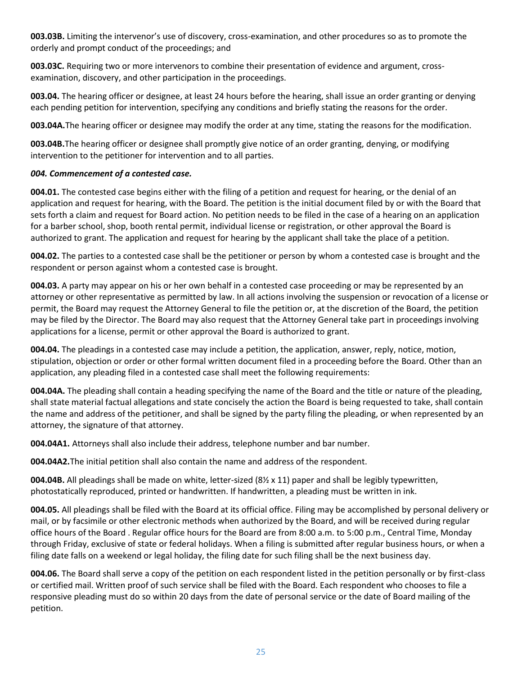**003.03B.** Limiting the intervenor's use of discovery, cross-examination, and other procedures so as to promote the orderly and prompt conduct of the proceedings; and

**003.03C.** Requiring two or more intervenors to combine their presentation of evidence and argument, crossexamination, discovery, and other participation in the proceedings.

**003.04.** The hearing officer or designee, at least 24 hours before the hearing, shall issue an order granting or denying each pending petition for intervention, specifying any conditions and briefly stating the reasons for the order.

**003.04A.**The hearing officer or designee may modify the order at any time, stating the reasons for the modification.

**003.04B.**The hearing officer or designee shall promptly give notice of an order granting, denying, or modifying intervention to the petitioner for intervention and to all parties.

#### *004. Commencement of a contested case.*

**004.01.** The contested case begins either with the filing of a petition and request for hearing, or the denial of an application and request for hearing, with the Board. The petition is the initial document filed by or with the Board that sets forth a claim and request for Board action. No petition needs to be filed in the case of a hearing on an application for a barber school, shop, booth rental permit, individual license or registration, or other approval the Board is authorized to grant. The application and request for hearing by the applicant shall take the place of a petition.

**004.02.** The parties to a contested case shall be the petitioner or person by whom a contested case is brought and the respondent or person against whom a contested case is brought.

**004.03.** A party may appear on his or her own behalf in a contested case proceeding or may be represented by an attorney or other representative as permitted by law. In all actions involving the suspension or revocation of a license or permit, the Board may request the Attorney General to file the petition or, at the discretion of the Board, the petition may be filed by the Director. The Board may also request that the Attorney General take part in proceedings involving applications for a license, permit or other approval the Board is authorized to grant.

**004.04.** The pleadings in a contested case may include a petition, the application, answer, reply, notice, motion, stipulation, objection or order or other formal written document filed in a proceeding before the Board. Other than an application, any pleading filed in a contested case shall meet the following requirements:

**004.04A.** The pleading shall contain a heading specifying the name of the Board and the title or nature of the pleading, shall state material factual allegations and state concisely the action the Board is being requested to take, shall contain the name and address of the petitioner, and shall be signed by the party filing the pleading, or when represented by an attorney, the signature of that attorney.

**004.04A1.** Attorneys shall also include their address, telephone number and bar number.

**004.04A2.**The initial petition shall also contain the name and address of the respondent.

**004.04B.** All pleadings shall be made on white, letter-sized (8½ x 11) paper and shall be legibly typewritten, photostatically reproduced, printed or handwritten. If handwritten, a pleading must be written in ink.

**004.05.** All pleadings shall be filed with the Board at its official office. Filing may be accomplished by personal delivery or mail, or by facsimile or other electronic methods when authorized by the Board, and will be received during regular office hours of the Board . Regular office hours for the Board are from 8:00 a.m. to 5:00 p.m., Central Time, Monday through Friday, exclusive of state or federal holidays. When a filing is submitted after regular business hours, or when a filing date falls on a weekend or legal holiday, the filing date for such filing shall be the next business day.

**004.06.** The Board shall serve a copy of the petition on each respondent listed in the petition personally or by first-class or certified mail. Written proof of such service shall be filed with the Board. Each respondent who chooses to file a responsive pleading must do so within 20 days from the date of personal service or the date of Board mailing of the petition.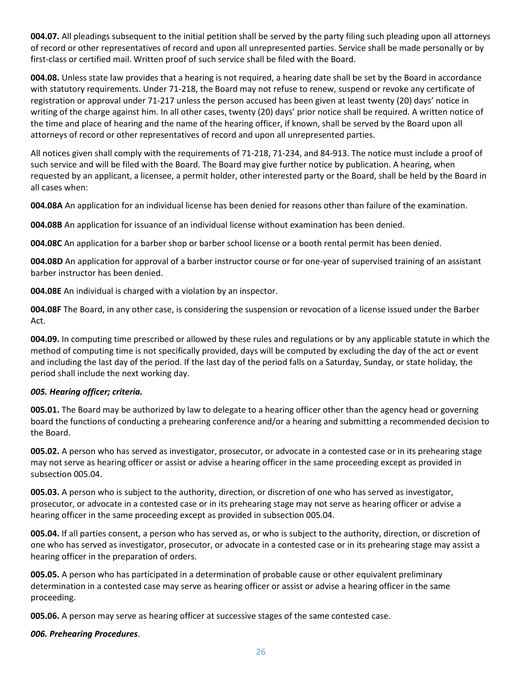**004.07.** All pleadings subsequent to the initial petition shall be served by the party filing such pleading upon all attorneys of record or other representatives of record and upon all unrepresented parties. Service shall be made personally or by first-class or certified mail. Written proof of such service shall be filed with the Board.

**004.08.** Unless state law provides that a hearing is not required, a hearing date shall be set by the Board in accordance with statutory requirements. Under 71-218, the Board may not refuse to renew, suspend or revoke any certificate of registration or approval under 71-217 unless the person accused has been given at least twenty (20) days' notice in writing of the charge against him. In all other cases, twenty (20) days' prior notice shall be required. A written notice of the time and place of hearing and the name of the hearing officer, if known, shall be served by the Board upon all attorneys of record or other representatives of record and upon all unrepresented parties.

All notices given shall comply with the requirements of 71-218, 71-234, and 84-913. The notice must include a proof of such service and will be filed with the Board. The Board may give further notice by publication. A hearing, when requested by an applicant, a licensee, a permit holder, other interested party or the Board, shall be held by the Board in all cases when:

**004.08A** An application for an individual license has been denied for reasons other than failure of the examination.

**004.08B** An application for issuance of an individual license without examination has been denied.

**004.08C** An application for a barber shop or barber school license or a booth rental permit has been denied.

**004.08D** An application for approval of a barber instructor course or for one-year of supervised training of an assistant barber instructor has been denied.

**004.08E** An individual is charged with a violation by an inspector.

**004.08F** The Board, in any other case, is considering the suspension or revocation of a license issued under the Barber Act.

**004.09.** In computing time prescribed or allowed by these rules and regulations or by any applicable statute in which the method of computing time is not specifically provided, days will be computed by excluding the day of the act or event and including the last day of the period. If the last day of the period falls on a Saturday, Sunday, or state holiday, the period shall include the next working day.

#### *005. Hearing officer; criteria.*

**005.01.** The Board may be authorized by law to delegate to a hearing officer other than the agency head or governing board the functions of conducting a prehearing conference and/or a hearing and submitting a recommended decision to the Board.

**005.02.** A person who has served as investigator, prosecutor, or advocate in a contested case or in its prehearing stage may not serve as hearing officer or assist or advise a hearing officer in the same proceeding except as provided in subsection 005.04.

**005.03.** A person who is subject to the authority, direction, or discretion of one who has served as investigator, prosecutor, or advocate in a contested case or in its prehearing stage may not serve as hearing officer or advise a hearing officer in the same proceeding except as provided in subsection 005.04.

**005.04.** If all parties consent, a person who has served as, or who is subject to the authority, direction, or discretion of one who has served as investigator, prosecutor, or advocate in a contested case or in its prehearing stage may assist a hearing officer in the preparation of orders.

**005.05.** A person who has participated in a determination of probable cause or other equivalent preliminary determination in a contested case may serve as hearing officer or assist or advise a hearing officer in the same proceeding.

**005.06.** A person may serve as hearing officer at successive stages of the same contested case.

#### *006. Prehearing Procedures*.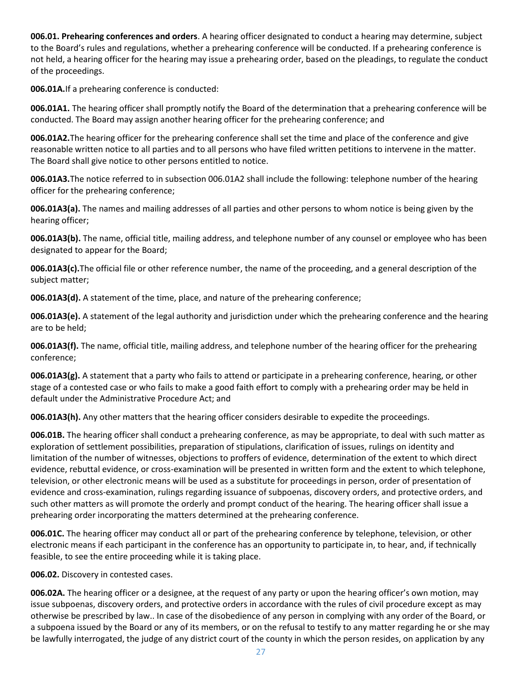**006.01. Prehearing conferences and orders**. A hearing officer designated to conduct a hearing may determine, subject to the Board's rules and regulations, whether a prehearing conference will be conducted. If a prehearing conference is not held, a hearing officer for the hearing may issue a prehearing order, based on the pleadings, to regulate the conduct of the proceedings.

**006.01A.**If a prehearing conference is conducted:

**006.01A1.** The hearing officer shall promptly notify the Board of the determination that a prehearing conference will be conducted. The Board may assign another hearing officer for the prehearing conference; and

**006.01A2.**The hearing officer for the prehearing conference shall set the time and place of the conference and give reasonable written notice to all parties and to all persons who have filed written petitions to intervene in the matter. The Board shall give notice to other persons entitled to notice.

**006.01A3.**The notice referred to in subsection 006.01A2 shall include the following: telephone number of the hearing officer for the prehearing conference;

**006.01A3(a).** The names and mailing addresses of all parties and other persons to whom notice is being given by the hearing officer;

**006.01A3(b).** The name, official title, mailing address, and telephone number of any counsel or employee who has been designated to appear for the Board;

**006.01A3(c).**The official file or other reference number, the name of the proceeding, and a general description of the subject matter;

**006.01A3(d).** A statement of the time, place, and nature of the prehearing conference;

**006.01A3(e).** A statement of the legal authority and jurisdiction under which the prehearing conference and the hearing are to be held;

**006.01A3(f).** The name, official title, mailing address, and telephone number of the hearing officer for the prehearing conference;

**006.01A3(g).** A statement that a party who fails to attend or participate in a prehearing conference, hearing, or other stage of a contested case or who fails to make a good faith effort to comply with a prehearing order may be held in default under the Administrative Procedure Act; and

**006.01A3(h).** Any other matters that the hearing officer considers desirable to expedite the proceedings.

**006.01B.** The hearing officer shall conduct a prehearing conference, as may be appropriate, to deal with such matter as exploration of settlement possibilities, preparation of stipulations, clarification of issues, rulings on identity and limitation of the number of witnesses, objections to proffers of evidence, determination of the extent to which direct evidence, rebuttal evidence, or cross-examination will be presented in written form and the extent to which telephone, television, or other electronic means will be used as a substitute for proceedings in person, order of presentation of evidence and cross-examination, rulings regarding issuance of subpoenas, discovery orders, and protective orders, and such other matters as will promote the orderly and prompt conduct of the hearing. The hearing officer shall issue a prehearing order incorporating the matters determined at the prehearing conference.

**006.01C.** The hearing officer may conduct all or part of the prehearing conference by telephone, television, or other electronic means if each participant in the conference has an opportunity to participate in, to hear, and, if technically feasible, to see the entire proceeding while it is taking place.

**006.02.** Discovery in contested cases.

**006.02A.** The hearing officer or a designee, at the request of any party or upon the hearing officer's own motion, may issue subpoenas, discovery orders, and protective orders in accordance with the rules of civil procedure except as may otherwise be prescribed by law.. In case of the disobedience of any person in complying with any order of the Board, or a subpoena issued by the Board or any of its members, or on the refusal to testify to any matter regarding he or she may be lawfully interrogated, the judge of any district court of the county in which the person resides, on application by any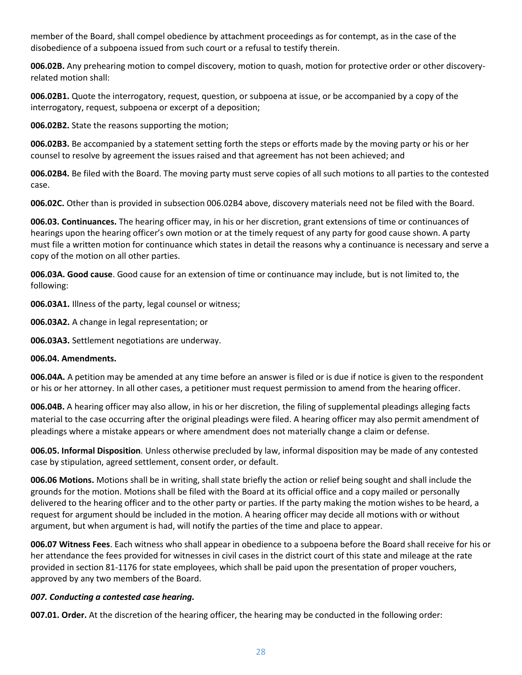member of the Board, shall compel obedience by attachment proceedings as for contempt, as in the case of the disobedience of a subpoena issued from such court or a refusal to testify therein.

**006.02B.** Any prehearing motion to compel discovery, motion to quash, motion for protective order or other discoveryrelated motion shall:

**006.02B1.** Quote the interrogatory, request, question, or subpoena at issue, or be accompanied by a copy of the interrogatory, request, subpoena or excerpt of a deposition;

**006.02B2.** State the reasons supporting the motion;

**006.02B3.** Be accompanied by a statement setting forth the steps or efforts made by the moving party or his or her counsel to resolve by agreement the issues raised and that agreement has not been achieved; and

**006.02B4.** Be filed with the Board. The moving party must serve copies of all such motions to all parties to the contested case.

**006.02C.** Other than is provided in subsection 006.02B4 above, discovery materials need not be filed with the Board.

**006.03. Continuances.** The hearing officer may, in his or her discretion, grant extensions of time or continuances of hearings upon the hearing officer's own motion or at the timely request of any party for good cause shown. A party must file a written motion for continuance which states in detail the reasons why a continuance is necessary and serve a copy of the motion on all other parties.

**006.03A. Good cause**. Good cause for an extension of time or continuance may include, but is not limited to, the following:

**006.03A1.** Illness of the party, legal counsel or witness;

**006.03A2.** A change in legal representation; or

**006.03A3.** Settlement negotiations are underway.

#### **006.04. Amendments.**

**006.04A.** A petition may be amended at any time before an answer is filed or is due if notice is given to the respondent or his or her attorney. In all other cases, a petitioner must request permission to amend from the hearing officer.

**006.04B.** A hearing officer may also allow, in his or her discretion, the filing of supplemental pleadings alleging facts material to the case occurring after the original pleadings were filed. A hearing officer may also permit amendment of pleadings where a mistake appears or where amendment does not materially change a claim or defense.

**006.05. Informal Disposition***.* Unless otherwise precluded by law, informal disposition may be made of any contested case by stipulation, agreed settlement, consent order, or default.

**006.06 Motions.** Motions shall be in writing, shall state briefly the action or relief being sought and shall include the grounds for the motion. Motions shall be filed with the Board at its official office and a copy mailed or personally delivered to the hearing officer and to the other party or parties. If the party making the motion wishes to be heard, a request for argument should be included in the motion. A hearing officer may decide all motions with or without argument, but when argument is had, will notify the parties of the time and place to appear.

**006.07 Witness Fees**. Each witness who shall appear in obedience to a subpoena before the Board shall receive for his or her attendance the fees provided for witnesses in civil cases in the district court of this state and mileage at the rate provided in section 81-1176 for state employees, which shall be paid upon the presentation of proper vouchers, approved by any two members of the Board.

#### *007. Conducting a contested case hearing.*

**007.01. Order.** At the discretion of the hearing officer, the hearing may be conducted in the following order: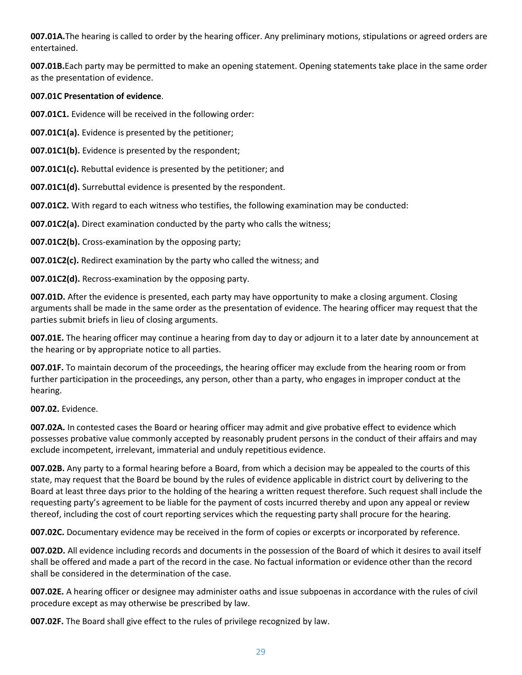**007.01A.**The hearing is called to order by the hearing officer. Any preliminary motions, stipulations or agreed orders are entertained.

**007.01B.**Each party may be permitted to make an opening statement. Opening statements take place in the same order as the presentation of evidence.

#### **007.01C Presentation of evidence**.

**007.01C1.** Evidence will be received in the following order:

**007.01C1(a).** Evidence is presented by the petitioner;

**007.01C1(b).** Evidence is presented by the respondent;

**007.01C1(c).** Rebuttal evidence is presented by the petitioner; and

**007.01C1(d).** Surrebuttal evidence is presented by the respondent.

**007.01C2.** With regard to each witness who testifies, the following examination may be conducted:

**007.01C2(a).** Direct examination conducted by the party who calls the witness;

**007.01C2(b).** Cross-examination by the opposing party;

**007.01C2(c).** Redirect examination by the party who called the witness; and

**007.01C2(d).** Recross-examination by the opposing party.

**007.01D.** After the evidence is presented, each party may have opportunity to make a closing argument. Closing arguments shall be made in the same order as the presentation of evidence. The hearing officer may request that the parties submit briefs in lieu of closing arguments.

**007.01E.** The hearing officer may continue a hearing from day to day or adjourn it to a later date by announcement at the hearing or by appropriate notice to all parties.

**007.01F.** To maintain decorum of the proceedings, the hearing officer may exclude from the hearing room or from further participation in the proceedings, any person, other than a party, who engages in improper conduct at the hearing.

#### **007.02.** Evidence.

**007.02A.** In contested cases the Board or hearing officer may admit and give probative effect to evidence which possesses probative value commonly accepted by reasonably prudent persons in the conduct of their affairs and may exclude incompetent, irrelevant, immaterial and unduly repetitious evidence.

**007.02B.** Any party to a formal hearing before a Board, from which a decision may be appealed to the courts of this state, may request that the Board be bound by the rules of evidence applicable in district court by delivering to the Board at least three days prior to the holding of the hearing a written request therefore. Such request shall include the requesting party's agreement to be liable for the payment of costs incurred thereby and upon any appeal or review thereof, including the cost of court reporting services which the requesting party shall procure for the hearing.

**007.02C.** Documentary evidence may be received in the form of copies or excerpts or incorporated by reference.

**007.02D.** All evidence including records and documents in the possession of the Board of which it desires to avail itself shall be offered and made a part of the record in the case. No factual information or evidence other than the record shall be considered in the determination of the case.

**007.02E.** A hearing officer or designee may administer oaths and issue subpoenas in accordance with the rules of civil procedure except as may otherwise be prescribed by law.

**007.02F.** The Board shall give effect to the rules of privilege recognized by law.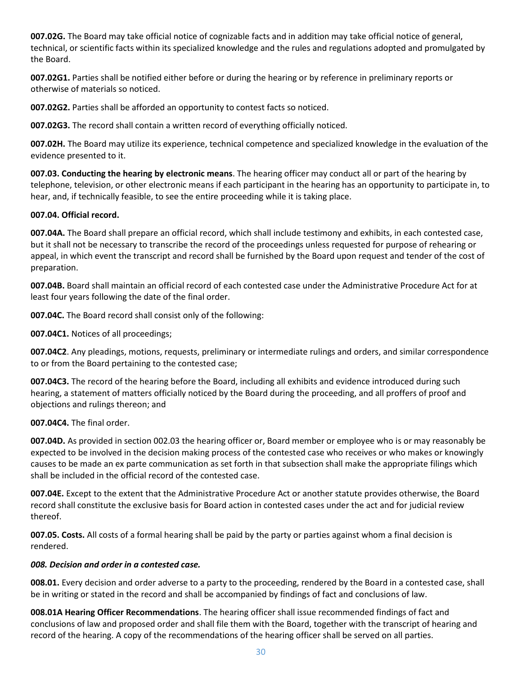**007.02G.** The Board may take official notice of cognizable facts and in addition may take official notice of general, technical, or scientific facts within its specialized knowledge and the rules and regulations adopted and promulgated by the Board.

**007.02G1.** Parties shall be notified either before or during the hearing or by reference in preliminary reports or otherwise of materials so noticed.

**007.02G2.** Parties shall be afforded an opportunity to contest facts so noticed.

**007.02G3.** The record shall contain a written record of everything officially noticed.

**007.02H.** The Board may utilize its experience, technical competence and specialized knowledge in the evaluation of the evidence presented to it.

**007.03. Conducting the hearing by electronic means**. The hearing officer may conduct all or part of the hearing by telephone, television, or other electronic means if each participant in the hearing has an opportunity to participate in, to hear, and, if technically feasible, to see the entire proceeding while it is taking place.

#### **007.04. Official record.**

**007.04A.** The Board shall prepare an official record, which shall include testimony and exhibits, in each contested case, but it shall not be necessary to transcribe the record of the proceedings unless requested for purpose of rehearing or appeal, in which event the transcript and record shall be furnished by the Board upon request and tender of the cost of preparation.

**007.04B.** Board shall maintain an official record of each contested case under the Administrative Procedure Act for at least four years following the date of the final order.

**007.04C.** The Board record shall consist only of the following:

**007.04C1.** Notices of all proceedings;

**007.04C2**. Any pleadings, motions, requests, preliminary or intermediate rulings and orders, and similar correspondence to or from the Board pertaining to the contested case;

**007.04C3.** The record of the hearing before the Board, including all exhibits and evidence introduced during such hearing, a statement of matters officially noticed by the Board during the proceeding, and all proffers of proof and objections and rulings thereon; and

**007.04C4.** The final order.

**007.04D.** As provided in section 002.03 the hearing officer or, Board member or employee who is or may reasonably be expected to be involved in the decision making process of the contested case who receives or who makes or knowingly causes to be made an ex parte communication as set forth in that subsection shall make the appropriate filings which shall be included in the official record of the contested case.

**007.04E.** Except to the extent that the Administrative Procedure Act or another statute provides otherwise, the Board record shall constitute the exclusive basis for Board action in contested cases under the act and for judicial review thereof.

**007.05. Costs.** All costs of a formal hearing shall be paid by the party or parties against whom a final decision is rendered.

#### *008. Decision and order in a contested case.*

**008.01.** Every decision and order adverse to a party to the proceeding, rendered by the Board in a contested case, shall be in writing or stated in the record and shall be accompanied by findings of fact and conclusions of law.

**008.01A Hearing Officer Recommendations**. The hearing officer shall issue recommended findings of fact and conclusions of law and proposed order and shall file them with the Board, together with the transcript of hearing and record of the hearing. A copy of the recommendations of the hearing officer shall be served on all parties.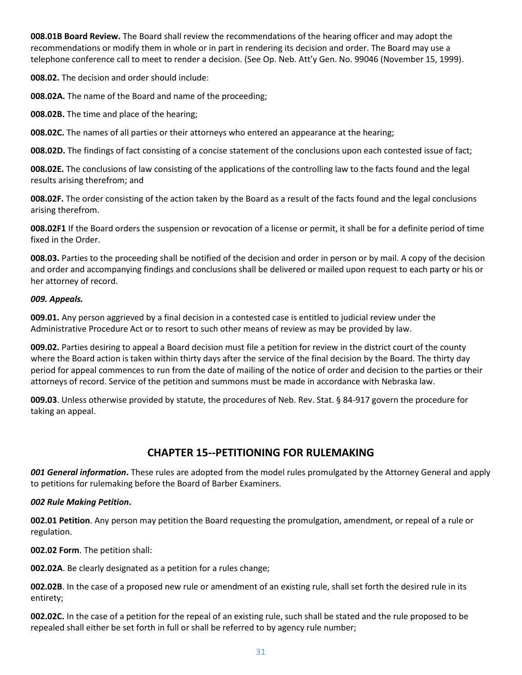**008.01B Board Review.** The Board shall review the recommendations of the hearing officer and may adopt the recommendations or modify them in whole or in part in rendering its decision and order. The Board may use a telephone conference call to meet to render a decision. (See Op. Neb. Att'y Gen. No. 99046 (November 15, 1999).

**008.02.** The decision and order should include:

**008.02A.** The name of the Board and name of the proceeding;

**008.02B.** The time and place of the hearing;

**008.02C.** The names of all parties or their attorneys who entered an appearance at the hearing;

**008.02D.** The findings of fact consisting of a concise statement of the conclusions upon each contested issue of fact;

**008.02E.** The conclusions of law consisting of the applications of the controlling law to the facts found and the legal results arising therefrom; and

**008.02F.** The order consisting of the action taken by the Board as a result of the facts found and the legal conclusions arising therefrom.

**008.02F1** If the Board orders the suspension or revocation of a license or permit, it shall be for a definite period of time fixed in the Order.

**008.03.** Parties to the proceeding shall be notified of the decision and order in person or by mail. A copy of the decision and order and accompanying findings and conclusions shall be delivered or mailed upon request to each party or his or her attorney of record.

#### *009. Appeals.*

**009.01.** Any person aggrieved by a final decision in a contested case is entitled to judicial review under the Administrative Procedure Act or to resort to such other means of review as may be provided by law.

**009.02.** Parties desiring to appeal a Board decision must file a petition for review in the district court of the county where the Board action is taken within thirty days after the service of the final decision by the Board. The thirty day period for appeal commences to run from the date of mailing of the notice of order and decision to the parties or their attorneys of record. Service of the petition and summons must be made in accordance with Nebraska law.

**009.03**. Unless otherwise provided by statute, the procedures of Neb. Rev. Stat. § 84-917 govern the procedure for taking an appeal.

### **CHAPTER 15--PETITIONING FOR RULEMAKING**

*001 General information***.** These rules are adopted from the model rules promulgated by the Attorney General and apply to petitions for rulemaking before the Board of Barber Examiners.

#### *002 Rule Making Petition***.**

**002.01 Petition**. Any person may petition the Board requesting the promulgation, amendment, or repeal of a rule or regulation.

**002.02 Form**. The petition shall:

**002.02A**. Be clearly designated as a petition for a rules change;

**002.02B**. In the case of a proposed new rule or amendment of an existing rule, shall set forth the desired rule in its entirety;

**002.02C.** In the case of a petition for the repeal of an existing rule, such shall be stated and the rule proposed to be repealed shall either be set forth in full or shall be referred to by agency rule number;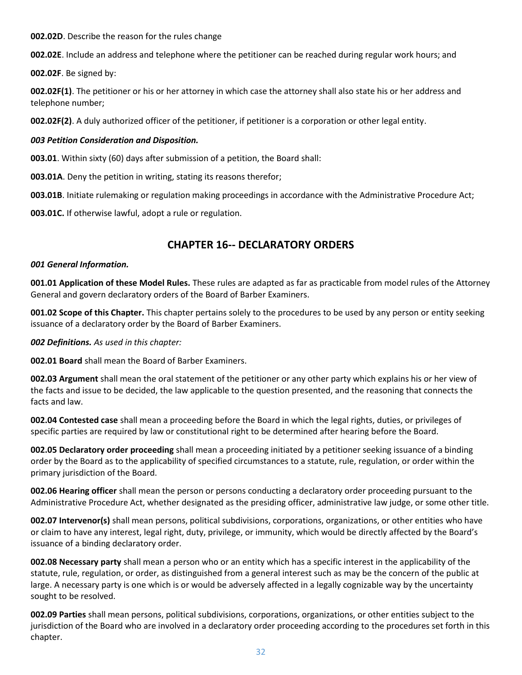**002.02D**. Describe the reason for the rules change

**002.02E**. Include an address and telephone where the petitioner can be reached during regular work hours; and

**002.02F**. Be signed by:

**002.02F(1)**. The petitioner or his or her attorney in which case the attorney shall also state his or her address and telephone number;

**002.02F(2)**. A duly authorized officer of the petitioner, if petitioner is a corporation or other legal entity.

#### *003 Petition Consideration and Disposition.*

**003.01**. Within sixty (60) days after submission of a petition, the Board shall:

**003.01A**. Deny the petition in writing, stating its reasons therefor;

**003.01B**. Initiate rulemaking or regulation making proceedings in accordance with the Administrative Procedure Act;

**003.01C.** If otherwise lawful, adopt a rule or regulation.

# **CHAPTER 16-- DECLARATORY ORDERS**

#### *001 General Information.*

**001.01 Application of these Model Rules.** These rules are adapted as far as practicable from model rules of the Attorney General and govern declaratory orders of the Board of Barber Examiners.

**001.02 Scope of this Chapter.** This chapter pertains solely to the procedures to be used by any person or entity seeking issuance of a declaratory order by the Board of Barber Examiners.

*002 Definitions. As used in this chapter:* 

**002.01 Board** shall mean the Board of Barber Examiners.

**002.03 Argument** shall mean the oral statement of the petitioner or any other party which explains his or her view of the facts and issue to be decided, the law applicable to the question presented, and the reasoning that connects the facts and law.

**002.04 Contested case** shall mean a proceeding before the Board in which the legal rights, duties, or privileges of specific parties are required by law or constitutional right to be determined after hearing before the Board.

**002.05 Declaratory order proceeding** shall mean a proceeding initiated by a petitioner seeking issuance of a binding order by the Board as to the applicability of specified circumstances to a statute, rule, regulation, or order within the primary jurisdiction of the Board.

**002.06 Hearing officer** shall mean the person or persons conducting a declaratory order proceeding pursuant to the Administrative Procedure Act, whether designated as the presiding officer, administrative law judge, or some other title.

**002.07 Intervenor(s)** shall mean persons, political subdivisions, corporations, organizations, or other entities who have or claim to have any interest, legal right, duty, privilege, or immunity, which would be directly affected by the Board's issuance of a binding declaratory order.

**002.08 Necessary party** shall mean a person who or an entity which has a specific interest in the applicability of the statute, rule, regulation, or order, as distinguished from a general interest such as may be the concern of the public at large. A necessary party is one which is or would be adversely affected in a legally cognizable way by the uncertainty sought to be resolved.

**002.09 Parties** shall mean persons, political subdivisions, corporations, organizations, or other entities subject to the jurisdiction of the Board who are involved in a declaratory order proceeding according to the procedures set forth in this chapter.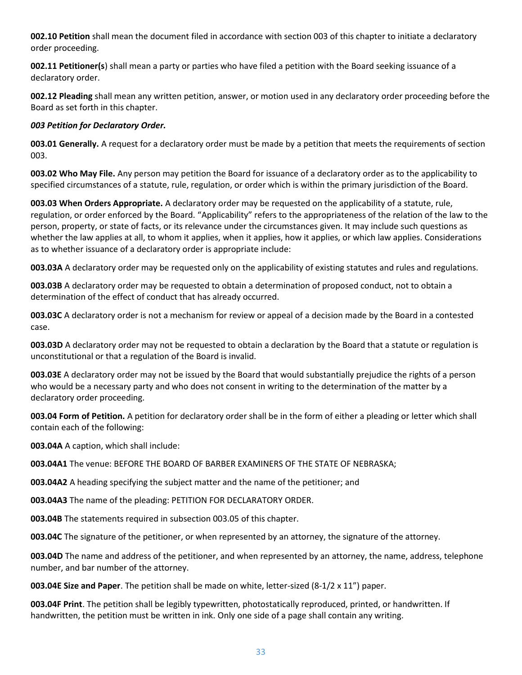**002.10 Petition** shall mean the document filed in accordance with section 003 of this chapter to initiate a declaratory order proceeding.

**002.11 Petitioner(s**) shall mean a party or parties who have filed a petition with the Board seeking issuance of a declaratory order.

**002.12 Pleading** shall mean any written petition, answer, or motion used in any declaratory order proceeding before the Board as set forth in this chapter.

#### *003 Petition for Declaratory Order.*

**003.01 Generally.** A request for a declaratory order must be made by a petition that meets the requirements of section 003.

**003.02 Who May File.** Any person may petition the Board for issuance of a declaratory order as to the applicability to specified circumstances of a statute, rule, regulation, or order which is within the primary jurisdiction of the Board.

**003.03 When Orders Appropriate.** A declaratory order may be requested on the applicability of a statute, rule, regulation, or order enforced by the Board. "Applicability" refers to the appropriateness of the relation of the law to the person, property, or state of facts, or its relevance under the circumstances given. It may include such questions as whether the law applies at all, to whom it applies, when it applies, how it applies, or which law applies. Considerations as to whether issuance of a declaratory order is appropriate include:

**003.03A** A declaratory order may be requested only on the applicability of existing statutes and rules and regulations.

**003.03B** A declaratory order may be requested to obtain a determination of proposed conduct, not to obtain a determination of the effect of conduct that has already occurred.

**003.03C** A declaratory order is not a mechanism for review or appeal of a decision made by the Board in a contested case.

**003.03D** A declaratory order may not be requested to obtain a declaration by the Board that a statute or regulation is unconstitutional or that a regulation of the Board is invalid.

**003.03E** A declaratory order may not be issued by the Board that would substantially prejudice the rights of a person who would be a necessary party and who does not consent in writing to the determination of the matter by a declaratory order proceeding.

**003.04 Form of Petition.** A petition for declaratory order shall be in the form of either a pleading or letter which shall contain each of the following:

**003.04A** A caption, which shall include:

**003.04A1** The venue: BEFORE THE BOARD OF BARBER EXAMINERS OF THE STATE OF NEBRASKA;

**003.04A2** A heading specifying the subject matter and the name of the petitioner; and

**003.04A3** The name of the pleading: PETITION FOR DECLARATORY ORDER.

**003.04B** The statements required in subsection 003.05 of this chapter.

**003.04C** The signature of the petitioner, or when represented by an attorney, the signature of the attorney.

**003.04D** The name and address of the petitioner, and when represented by an attorney, the name, address, telephone number, and bar number of the attorney.

**003.04E Size and Paper**. The petition shall be made on white, letter-sized (8-1/2 x 11") paper.

**003.04F Print**. The petition shall be legibly typewritten, photostatically reproduced, printed, or handwritten. If handwritten, the petition must be written in ink. Only one side of a page shall contain any writing.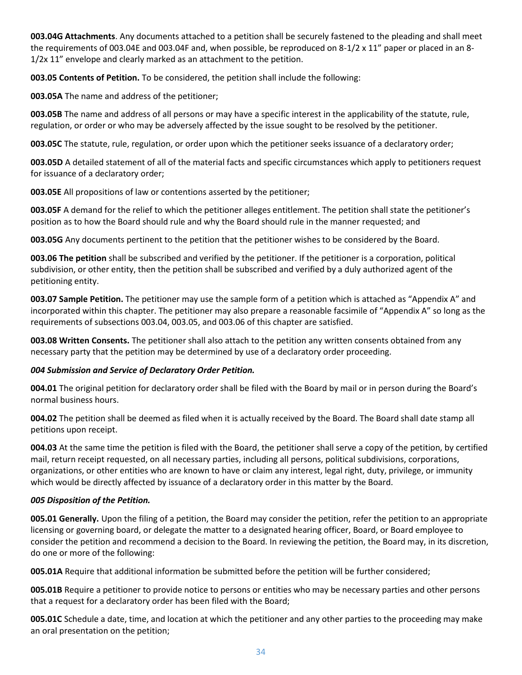**003.04G Attachments**. Any documents attached to a petition shall be securely fastened to the pleading and shall meet the requirements of 003.04E and 003.04F and, when possible, be reproduced on 8-1/2 x 11" paper or placed in an 8- 1/2x 11" envelope and clearly marked as an attachment to the petition.

**003.05 Contents of Petition.** To be considered, the petition shall include the following:

**003.05A** The name and address of the petitioner;

**003.05B** The name and address of all persons or may have a specific interest in the applicability of the statute, rule, regulation, or order or who may be adversely affected by the issue sought to be resolved by the petitioner.

**003.05C** The statute, rule, regulation, or order upon which the petitioner seeks issuance of a declaratory order;

**003.05D** A detailed statement of all of the material facts and specific circumstances which apply to petitioners request for issuance of a declaratory order;

**003.05E** All propositions of law or contentions asserted by the petitioner;

**003.05F** A demand for the relief to which the petitioner alleges entitlement. The petition shall state the petitioner's position as to how the Board should rule and why the Board should rule in the manner requested; and

**003.05G** Any documents pertinent to the petition that the petitioner wishes to be considered by the Board.

**003.06 The petition** shall be subscribed and verified by the petitioner. If the petitioner is a corporation, political subdivision, or other entity, then the petition shall be subscribed and verified by a duly authorized agent of the petitioning entity.

**003.07 Sample Petition.** The petitioner may use the sample form of a petition which is attached as "Appendix A" and incorporated within this chapter. The petitioner may also prepare a reasonable facsimile of "Appendix A" so long as the requirements of subsections 003.04, 003.05, and 003.06 of this chapter are satisfied.

**003.08 Written Consents.** The petitioner shall also attach to the petition any written consents obtained from any necessary party that the petition may be determined by use of a declaratory order proceeding.

#### *004 Submission and Service of Declaratory Order Petition.*

**004.01** The original petition for declaratory order shall be filed with the Board by mail or in person during the Board's normal business hours.

**004.02** The petition shall be deemed as filed when it is actually received by the Board. The Board shall date stamp all petitions upon receipt.

**004.03** At the same time the petition is filed with the Board, the petitioner shall serve a copy of the petition, by certified mail, return receipt requested, on all necessary parties, including all persons, political subdivisions, corporations, organizations, or other entities who are known to have or claim any interest, legal right, duty, privilege, or immunity which would be directly affected by issuance of a declaratory order in this matter by the Board.

#### *005 Disposition of the Petition.*

**005.01 Generally.** Upon the filing of a petition, the Board may consider the petition, refer the petition to an appropriate licensing or governing board, or delegate the matter to a designated hearing officer, Board, or Board employee to consider the petition and recommend a decision to the Board. In reviewing the petition, the Board may, in its discretion, do one or more of the following:

**005.01A** Require that additional information be submitted before the petition will be further considered;

**005.01B** Require a petitioner to provide notice to persons or entities who may be necessary parties and other persons that a request for a declaratory order has been filed with the Board;

**005.01C** Schedule a date, time, and location at which the petitioner and any other parties to the proceeding may make an oral presentation on the petition;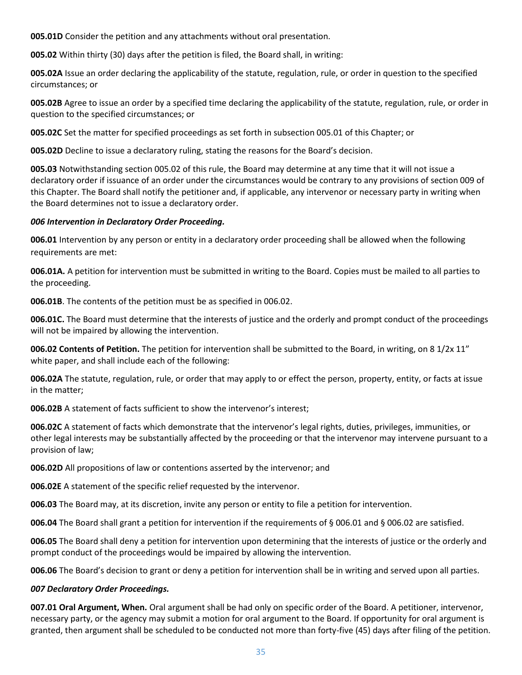**005.01D** Consider the petition and any attachments without oral presentation.

**005.02** Within thirty (30) days after the petition is filed, the Board shall, in writing:

**005.02A** Issue an order declaring the applicability of the statute, regulation, rule, or order in question to the specified circumstances; or

**005.02B** Agree to issue an order by a specified time declaring the applicability of the statute, regulation, rule, or order in question to the specified circumstances; or

**005.02C** Set the matter for specified proceedings as set forth in subsection 005.01 of this Chapter; or

**005.02D** Decline to issue a declaratory ruling, stating the reasons for the Board's decision.

**005.03** Notwithstanding section 005.02 of this rule, the Board may determine at any time that it will not issue a declaratory order if issuance of an order under the circumstances would be contrary to any provisions of section 009 of this Chapter. The Board shall notify the petitioner and, if applicable, any intervenor or necessary party in writing when the Board determines not to issue a declaratory order.

#### *006 Intervention in Declaratory Order Proceeding.*

**006.01** Intervention by any person or entity in a declaratory order proceeding shall be allowed when the following requirements are met:

**006.01A.** A petition for intervention must be submitted in writing to the Board. Copies must be mailed to all parties to the proceeding.

**006.01B**. The contents of the petition must be as specified in 006.02.

**006.01C.** The Board must determine that the interests of justice and the orderly and prompt conduct of the proceedings will not be impaired by allowing the intervention.

**006.02 Contents of Petition.** The petition for intervention shall be submitted to the Board, in writing, on 8 1/2x 11" white paper, and shall include each of the following:

**006.02A** The statute, regulation, rule, or order that may apply to or effect the person, property, entity, or facts at issue in the matter;

**006.02B** A statement of facts sufficient to show the intervenor's interest;

**006.02C** A statement of facts which demonstrate that the intervenor's legal rights, duties, privileges, immunities, or other legal interests may be substantially affected by the proceeding or that the intervenor may intervene pursuant to a provision of law;

**006.02D** All propositions of law or contentions asserted by the intervenor; and

**006.02E** A statement of the specific relief requested by the intervenor.

**006.03** The Board may, at its discretion, invite any person or entity to file a petition for intervention.

**006.04** The Board shall grant a petition for intervention if the requirements of § 006.01 and § 006.02 are satisfied.

**006.05** The Board shall deny a petition for intervention upon determining that the interests of justice or the orderly and prompt conduct of the proceedings would be impaired by allowing the intervention.

**006.06** The Board's decision to grant or deny a petition for intervention shall be in writing and served upon all parties.

#### *007 Declaratory Order Proceedings.*

**007.01 Oral Argument, When.** Oral argument shall be had only on specific order of the Board. A petitioner, intervenor, necessary party, or the agency may submit a motion for oral argument to the Board. If opportunity for oral argument is granted, then argument shall be scheduled to be conducted not more than forty-five (45) days after filing of the petition.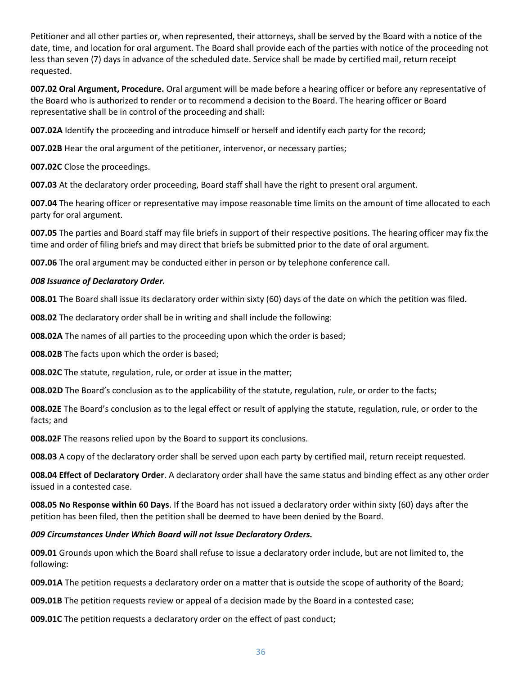Petitioner and all other parties or, when represented, their attorneys, shall be served by the Board with a notice of the date, time, and location for oral argument. The Board shall provide each of the parties with notice of the proceeding not less than seven (7) days in advance of the scheduled date. Service shall be made by certified mail, return receipt requested.

**007.02 Oral Argument, Procedure.** Oral argument will be made before a hearing officer or before any representative of the Board who is authorized to render or to recommend a decision to the Board. The hearing officer or Board representative shall be in control of the proceeding and shall:

**007.02A** Identify the proceeding and introduce himself or herself and identify each party for the record;

**007.02B** Hear the oral argument of the petitioner, intervenor, or necessary parties;

**007.02C** Close the proceedings.

**007.03** At the declaratory order proceeding, Board staff shall have the right to present oral argument.

**007.04** The hearing officer or representative may impose reasonable time limits on the amount of time allocated to each party for oral argument.

**007.05** The parties and Board staff may file briefs in support of their respective positions. The hearing officer may fix the time and order of filing briefs and may direct that briefs be submitted prior to the date of oral argument.

**007.06** The oral argument may be conducted either in person or by telephone conference call.

#### *008 Issuance of Declaratory Order.*

**008.01** The Board shall issue its declaratory order within sixty (60) days of the date on which the petition was filed.

**008.02** The declaratory order shall be in writing and shall include the following:

**008.02A** The names of all parties to the proceeding upon which the order is based;

**008.02B** The facts upon which the order is based;

**008.02C** The statute, regulation, rule, or order at issue in the matter;

**008.02D** The Board's conclusion as to the applicability of the statute, regulation, rule, or order to the facts;

**008.02E** The Board's conclusion as to the legal effect or result of applying the statute, regulation, rule, or order to the facts; and

**008.02F** The reasons relied upon by the Board to support its conclusions.

**008.03** A copy of the declaratory order shall be served upon each party by certified mail, return receipt requested.

**008.04 Effect of Declaratory Order**. A declaratory order shall have the same status and binding effect as any other order issued in a contested case.

**008.05 No Response within 60 Days**. If the Board has not issued a declaratory order within sixty (60) days after the petition has been filed, then the petition shall be deemed to have been denied by the Board.

#### *009 Circumstances Under Which Board will not Issue Declaratory Orders.*

**009.01** Grounds upon which the Board shall refuse to issue a declaratory order include, but are not limited to, the following:

**009.01A** The petition requests a declaratory order on a matter that is outside the scope of authority of the Board;

**009.01B** The petition requests review or appeal of a decision made by the Board in a contested case;

**009.01C** The petition requests a declaratory order on the effect of past conduct;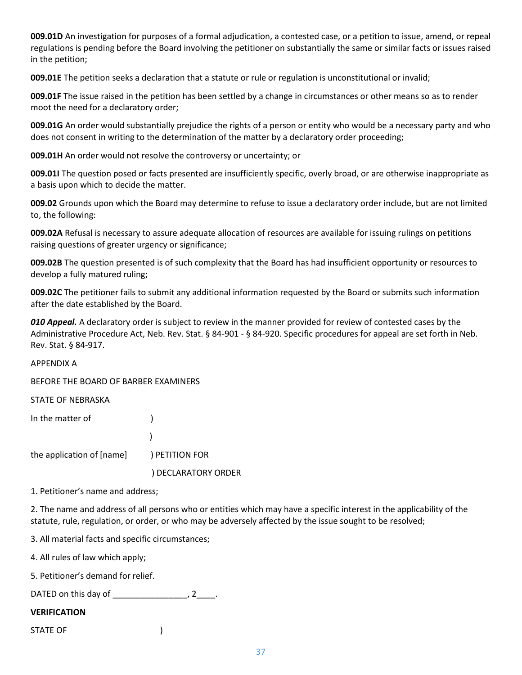**009.01D** An investigation for purposes of a formal adjudication, a contested case, or a petition to issue, amend, or repeal regulations is pending before the Board involving the petitioner on substantially the same or similar facts or issues raised in the petition;

**009.01E** The petition seeks a declaration that a statute or rule or regulation is unconstitutional or invalid;

**009.01F** The issue raised in the petition has been settled by a change in circumstances or other means so as to render moot the need for a declaratory order;

**009.01G** An order would substantially prejudice the rights of a person or entity who would be a necessary party and who does not consent in writing to the determination of the matter by a declaratory order proceeding;

**009.01H** An order would not resolve the controversy or uncertainty; or

**009.01I** The question posed or facts presented are insufficiently specific, overly broad, or are otherwise inappropriate as a basis upon which to decide the matter.

**009.02** Grounds upon which the Board may determine to refuse to issue a declaratory order include, but are not limited to, the following:

**009.02A** Refusal is necessary to assure adequate allocation of resources are available for issuing rulings on petitions raising questions of greater urgency or significance;

**009.02B** The question presented is of such complexity that the Board has had insufficient opportunity or resources to develop a fully matured ruling;

**009.02C** The petitioner fails to submit any additional information requested by the Board or submits such information after the date established by the Board.

*010 Appeal.* A declaratory order is subject to review in the manner provided for review of contested cases by the Administrative Procedure Act, Neb. Rev. Stat. § 84-901 - § 84-920. Specific procedures for appeal are set forth in Neb. Rev. Stat. § 84-917.

APPENDIX A

BEFORE THE BOARD OF BARBER EXAMINERS

STATE OF NEBRASKA

| In the matter of                         |                     |
|------------------------------------------|---------------------|
|                                          |                     |
| the application of [name] ) PETITION FOR |                     |
|                                          | ) DECLARATORY ORDER |

1. Petitioner's name and address;

2. The name and address of all persons who or entities which may have a specific interest in the applicability of the statute, rule, regulation, or order, or who may be adversely affected by the issue sought to be resolved;

3. All material facts and specific circumstances;

4. All rules of law which apply;

5. Petitioner's demand for relief.

DATED on this day of  $\frac{1}{2}$   $\frac{1}{2}$ .

#### **VERIFICATION**

STATE OF  $\qquad \qquad$  )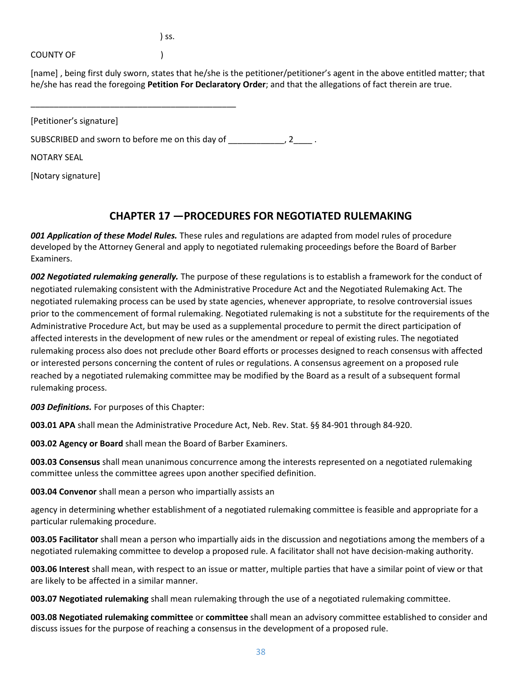$\int$  ss.

COUNTY OF THE STATE (SOUNTY OF

[name] , being first duly sworn, states that he/she is the petitioner/petitioner's agent in the above entitled matter; that he/she has read the foregoing **Petition For Declaratory Order**; and that the allegations of fact therein are true.

| [Petitioner's signature]                         |  |
|--------------------------------------------------|--|
| SUBSCRIBED and sworn to before me on this day of |  |
| <b>NOTARY SEAL</b>                               |  |
| [Notary signature]                               |  |

\_\_\_\_\_\_\_\_\_\_\_\_\_\_\_\_\_\_\_\_\_\_\_\_\_\_\_\_\_\_\_\_\_\_\_\_\_\_\_\_\_\_\_\_

# **CHAPTER 17 —PROCEDURES FOR NEGOTIATED RULEMAKING**

*001 Application of these Model Rules.* These rules and regulations are adapted from model rules of procedure developed by the Attorney General and apply to negotiated rulemaking proceedings before the Board of Barber Examiners.

*002 Negotiated rulemaking generally.* The purpose of these regulations is to establish a framework for the conduct of negotiated rulemaking consistent with the Administrative Procedure Act and the Negotiated Rulemaking Act. The negotiated rulemaking process can be used by state agencies, whenever appropriate, to resolve controversial issues prior to the commencement of formal rulemaking. Negotiated rulemaking is not a substitute for the requirements of the Administrative Procedure Act, but may be used as a supplemental procedure to permit the direct participation of affected interests in the development of new rules or the amendment or repeal of existing rules. The negotiated rulemaking process also does not preclude other Board efforts or processes designed to reach consensus with affected or interested persons concerning the content of rules or regulations. A consensus agreement on a proposed rule reached by a negotiated rulemaking committee may be modified by the Board as a result of a subsequent formal rulemaking process.

*003 Definitions.* For purposes of this Chapter:

**003.01 APA** shall mean the Administrative Procedure Act, Neb. Rev. Stat. §§ 84-901 through 84-920.

**003.02 Agency or Board** shall mean the Board of Barber Examiners.

**003.03 Consensus** shall mean unanimous concurrence among the interests represented on a negotiated rulemaking committee unless the committee agrees upon another specified definition.

**003.04 Convenor** shall mean a person who impartially assists an

agency in determining whether establishment of a negotiated rulemaking committee is feasible and appropriate for a particular rulemaking procedure.

**003.05 Facilitator** shall mean a person who impartially aids in the discussion and negotiations among the members of a negotiated rulemaking committee to develop a proposed rule. A facilitator shall not have decision-making authority.

**003.06 Interest** shall mean, with respect to an issue or matter, multiple parties that have a similar point of view or that are likely to be affected in a similar manner.

**003.07 Negotiated rulemaking** shall mean rulemaking through the use of a negotiated rulemaking committee.

**003.08 Negotiated rulemaking committee** or **committee** shall mean an advisory committee established to consider and discuss issues for the purpose of reaching a consensus in the development of a proposed rule.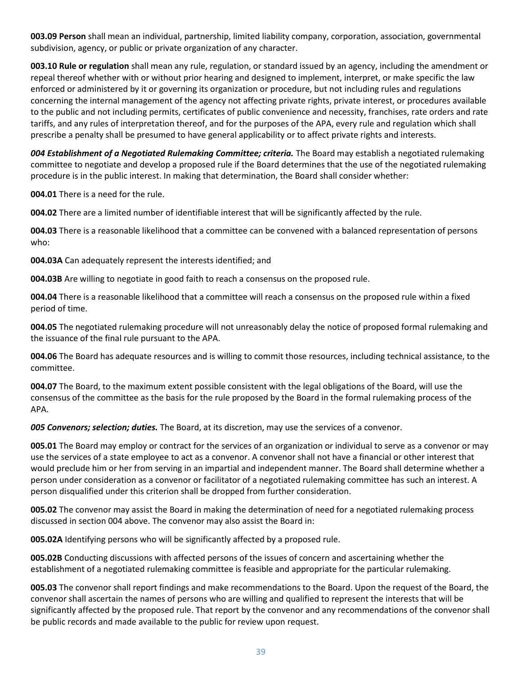**003.09 Person** shall mean an individual, partnership, limited liability company, corporation, association, governmental subdivision, agency, or public or private organization of any character.

**003.10 Rule or regulation** shall mean any rule, regulation, or standard issued by an agency, including the amendment or repeal thereof whether with or without prior hearing and designed to implement, interpret, or make specific the law enforced or administered by it or governing its organization or procedure, but not including rules and regulations concerning the internal management of the agency not affecting private rights, private interest, or procedures available to the public and not including permits, certificates of public convenience and necessity, franchises, rate orders and rate tariffs, and any rules of interpretation thereof, and for the purposes of the APA, every rule and regulation which shall prescribe a penalty shall be presumed to have general applicability or to affect private rights and interests.

**004 Establishment of a Negotiated Rulemaking Committee; criteria. The Board may establish a negotiated rulemaking** committee to negotiate and develop a proposed rule if the Board determines that the use of the negotiated rulemaking procedure is in the public interest. In making that determination, the Board shall consider whether:

**004.01** There is a need for the rule.

**004.02** There are a limited number of identifiable interest that will be significantly affected by the rule.

**004.03** There is a reasonable likelihood that a committee can be convened with a balanced representation of persons who:

**004.03A** Can adequately represent the interests identified; and

**004.03B** Are willing to negotiate in good faith to reach a consensus on the proposed rule.

**004.04** There is a reasonable likelihood that a committee will reach a consensus on the proposed rule within a fixed period of time.

**004.05** The negotiated rulemaking procedure will not unreasonably delay the notice of proposed formal rulemaking and the issuance of the final rule pursuant to the APA.

**004.06** The Board has adequate resources and is willing to commit those resources, including technical assistance, to the committee.

**004.07** The Board, to the maximum extent possible consistent with the legal obligations of the Board, will use the consensus of the committee as the basis for the rule proposed by the Board in the formal rulemaking process of the APA.

*005 Convenors; selection; duties.* The Board, at its discretion, may use the services of a convenor.

**005.01** The Board may employ or contract for the services of an organization or individual to serve as a convenor or may use the services of a state employee to act as a convenor. A convenor shall not have a financial or other interest that would preclude him or her from serving in an impartial and independent manner. The Board shall determine whether a person under consideration as a convenor or facilitator of a negotiated rulemaking committee has such an interest. A person disqualified under this criterion shall be dropped from further consideration.

**005.02** The convenor may assist the Board in making the determination of need for a negotiated rulemaking process discussed in section 004 above. The convenor may also assist the Board in:

**005.02A** Identifying persons who will be significantly affected by a proposed rule.

**005.02B** Conducting discussions with affected persons of the issues of concern and ascertaining whether the establishment of a negotiated rulemaking committee is feasible and appropriate for the particular rulemaking.

**005.03** The convenor shall report findings and make recommendations to the Board. Upon the request of the Board, the convenor shall ascertain the names of persons who are willing and qualified to represent the interests that will be significantly affected by the proposed rule. That report by the convenor and any recommendations of the convenor shall be public records and made available to the public for review upon request.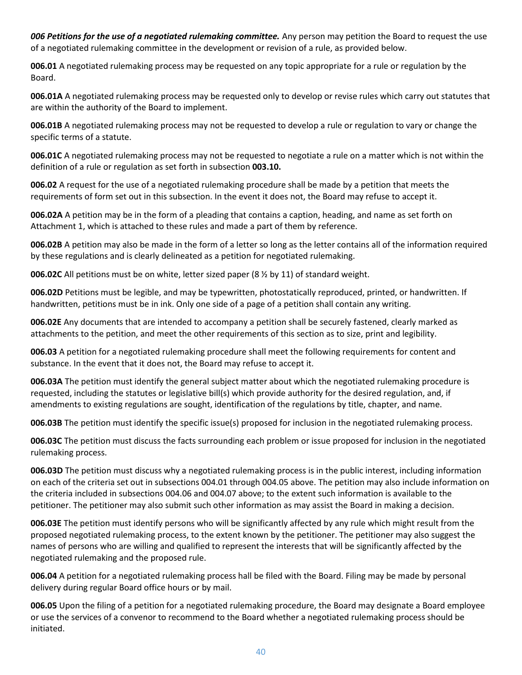*006 Petitions for the use of a negotiated rulemaking committee.* Any person may petition the Board to request the use of a negotiated rulemaking committee in the development or revision of a rule, as provided below.

**006.01** A negotiated rulemaking process may be requested on any topic appropriate for a rule or regulation by the Board.

**006.01A** A negotiated rulemaking process may be requested only to develop or revise rules which carry out statutes that are within the authority of the Board to implement.

**006.01B** A negotiated rulemaking process may not be requested to develop a rule or regulation to vary or change the specific terms of a statute.

**006.01C** A negotiated rulemaking process may not be requested to negotiate a rule on a matter which is not within the definition of a rule or regulation as set forth in subsection **003.10.** 

**006.02** A request for the use of a negotiated rulemaking procedure shall be made by a petition that meets the requirements of form set out in this subsection. In the event it does not, the Board may refuse to accept it.

**006.02A** A petition may be in the form of a pleading that contains a caption, heading, and name as set forth on Attachment 1, which is attached to these rules and made a part of them by reference.

**006.02B** A petition may also be made in the form of a letter so long as the letter contains all of the information required by these regulations and is clearly delineated as a petition for negotiated rulemaking.

**006.02C** All petitions must be on white, letter sized paper (8 ½ by 11) of standard weight.

**006.02D** Petitions must be legible, and may be typewritten, photostatically reproduced, printed, or handwritten. If handwritten, petitions must be in ink. Only one side of a page of a petition shall contain any writing.

**006.02E** Any documents that are intended to accompany a petition shall be securely fastened, clearly marked as attachments to the petition, and meet the other requirements of this section as to size, print and legibility.

**006.03** A petition for a negotiated rulemaking procedure shall meet the following requirements for content and substance. In the event that it does not, the Board may refuse to accept it.

**006.03A** The petition must identify the general subject matter about which the negotiated rulemaking procedure is requested, including the statutes or legislative bill(s) which provide authority for the desired regulation, and, if amendments to existing regulations are sought, identification of the regulations by title, chapter, and name.

**006.03B** The petition must identify the specific issue(s) proposed for inclusion in the negotiated rulemaking process.

**006.03C** The petition must discuss the facts surrounding each problem or issue proposed for inclusion in the negotiated rulemaking process.

**006.03D** The petition must discuss why a negotiated rulemaking process is in the public interest, including information on each of the criteria set out in subsections 004.01 through 004.05 above. The petition may also include information on the criteria included in subsections 004.06 and 004.07 above; to the extent such information is available to the petitioner. The petitioner may also submit such other information as may assist the Board in making a decision.

**006.03E** The petition must identify persons who will be significantly affected by any rule which might result from the proposed negotiated rulemaking process, to the extent known by the petitioner. The petitioner may also suggest the names of persons who are willing and qualified to represent the interests that will be significantly affected by the negotiated rulemaking and the proposed rule.

**006.04** A petition for a negotiated rulemaking process hall be filed with the Board. Filing may be made by personal delivery during regular Board office hours or by mail.

**006.05** Upon the filing of a petition for a negotiated rulemaking procedure, the Board may designate a Board employee or use the services of a convenor to recommend to the Board whether a negotiated rulemaking process should be initiated.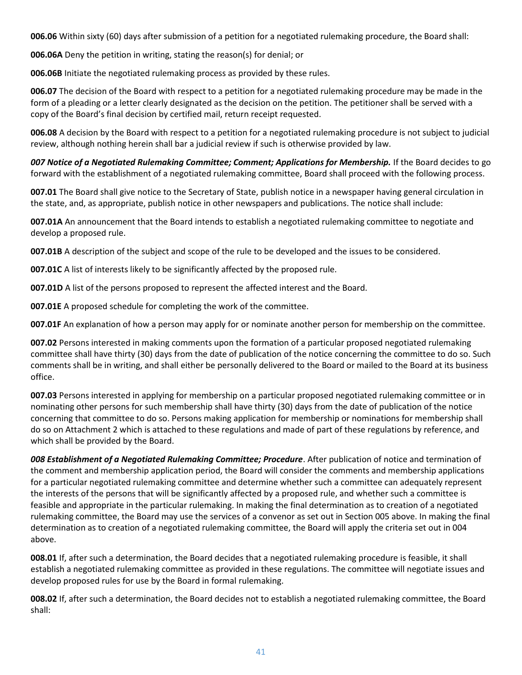**006.06** Within sixty (60) days after submission of a petition for a negotiated rulemaking procedure, the Board shall:

**006.06A** Deny the petition in writing, stating the reason(s) for denial; or

**006.06B** Initiate the negotiated rulemaking process as provided by these rules.

**006.07** The decision of the Board with respect to a petition for a negotiated rulemaking procedure may be made in the form of a pleading or a letter clearly designated as the decision on the petition. The petitioner shall be served with a copy of the Board's final decision by certified mail, return receipt requested.

**006.08** A decision by the Board with respect to a petition for a negotiated rulemaking procedure is not subject to judicial review, although nothing herein shall bar a judicial review if such is otherwise provided by law.

*007 Notice of a Negotiated Rulemaking Committee; Comment; Applications for Membership.* If the Board decides to go forward with the establishment of a negotiated rulemaking committee, Board shall proceed with the following process.

**007.01** The Board shall give notice to the Secretary of State, publish notice in a newspaper having general circulation in the state, and, as appropriate, publish notice in other newspapers and publications. The notice shall include:

**007.01A** An announcement that the Board intends to establish a negotiated rulemaking committee to negotiate and develop a proposed rule.

**007.01B** A description of the subject and scope of the rule to be developed and the issues to be considered.

**007.01C** A list of interests likely to be significantly affected by the proposed rule.

**007.01D** A list of the persons proposed to represent the affected interest and the Board.

**007.01E** A proposed schedule for completing the work of the committee.

**007.01F** An explanation of how a person may apply for or nominate another person for membership on the committee.

**007.02** Persons interested in making comments upon the formation of a particular proposed negotiated rulemaking committee shall have thirty (30) days from the date of publication of the notice concerning the committee to do so. Such comments shall be in writing, and shall either be personally delivered to the Board or mailed to the Board at its business office.

**007.03** Persons interested in applying for membership on a particular proposed negotiated rulemaking committee or in nominating other persons for such membership shall have thirty (30) days from the date of publication of the notice concerning that committee to do so. Persons making application for membership or nominations for membership shall do so on Attachment 2 which is attached to these regulations and made of part of these regulations by reference, and which shall be provided by the Board.

*008 Establishment of a Negotiated Rulemaking Committee; Procedure*. After publication of notice and termination of the comment and membership application period, the Board will consider the comments and membership applications for a particular negotiated rulemaking committee and determine whether such a committee can adequately represent the interests of the persons that will be significantly affected by a proposed rule, and whether such a committee is feasible and appropriate in the particular rulemaking. In making the final determination as to creation of a negotiated rulemaking committee, the Board may use the services of a convenor as set out in Section 005 above. In making the final determination as to creation of a negotiated rulemaking committee, the Board will apply the criteria set out in 004 above.

**008.01** If, after such a determination, the Board decides that a negotiated rulemaking procedure is feasible, it shall establish a negotiated rulemaking committee as provided in these regulations. The committee will negotiate issues and develop proposed rules for use by the Board in formal rulemaking.

**008.02** If, after such a determination, the Board decides not to establish a negotiated rulemaking committee, the Board shall: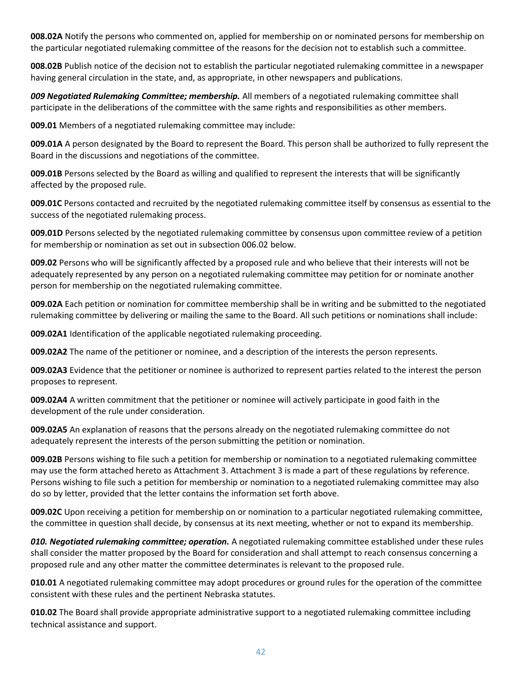**008.02A** Notify the persons who commented on, applied for membership on or nominated persons for membership on the particular negotiated rulemaking committee of the reasons for the decision not to establish such a committee.

**008.02B** Publish notice of the decision not to establish the particular negotiated rulemaking committee in a newspaper having general circulation in the state, and, as appropriate, in other newspapers and publications.

*009 Negotiated Rulemaking Committee; membership.* All members of a negotiated rulemaking committee shall participate in the deliberations of the committee with the same rights and responsibilities as other members.

**009.01** Members of a negotiated rulemaking committee may include:

**009.01A** A person designated by the Board to represent the Board. This person shall be authorized to fully represent the Board in the discussions and negotiations of the committee.

**009.01B** Persons selected by the Board as willing and qualified to represent the interests that will be significantly affected by the proposed rule.

**009.01C** Persons contacted and recruited by the negotiated rulemaking committee itself by consensus as essential to the success of the negotiated rulemaking process.

**009.01D** Persons selected by the negotiated rulemaking committee by consensus upon committee review of a petition for membership or nomination as set out in subsection 006.02 below.

**009.02** Persons who will be significantly affected by a proposed rule and who believe that their interests will not be adequately represented by any person on a negotiated rulemaking committee may petition for or nominate another person for membership on the negotiated rulemaking committee.

**009.02A** Each petition or nomination for committee membership shall be in writing and be submitted to the negotiated rulemaking committee by delivering or mailing the same to the Board. All such petitions or nominations shall include:

**009.02A1** Identification of the applicable negotiated rulemaking proceeding.

**009.02A2** The name of the petitioner or nominee, and a description of the interests the person represents.

**009.02A3** Evidence that the petitioner or nominee is authorized to represent parties related to the interest the person proposes to represent.

**009.02A4** A written commitment that the petitioner or nominee will actively participate in good faith in the development of the rule under consideration.

**009.02A5** An explanation of reasons that the persons already on the negotiated rulemaking committee do not adequately represent the interests of the person submitting the petition or nomination.

**009.02B** Persons wishing to file such a petition for membership or nomination to a negotiated rulemaking committee may use the form attached hereto as Attachment 3. Attachment 3 is made a part of these regulations by reference. Persons wishing to file such a petition for membership or nomination to a negotiated rulemaking committee may also do so by letter, provided that the letter contains the information set forth above.

**009.02C** Upon receiving a petition for membership on or nomination to a particular negotiated rulemaking committee, the committee in question shall decide, by consensus at its next meeting, whether or not to expand its membership.

*010. Negotiated rulemaking committee; operation.* A negotiated rulemaking committee established under these rules shall consider the matter proposed by the Board for consideration and shall attempt to reach consensus concerning a proposed rule and any other matter the committee determinates is relevant to the proposed rule.

**010.01** A negotiated rulemaking committee may adopt procedures or ground rules for the operation of the committee consistent with these rules and the pertinent Nebraska statutes.

**010.02** The Board shall provide appropriate administrative support to a negotiated rulemaking committee including technical assistance and support.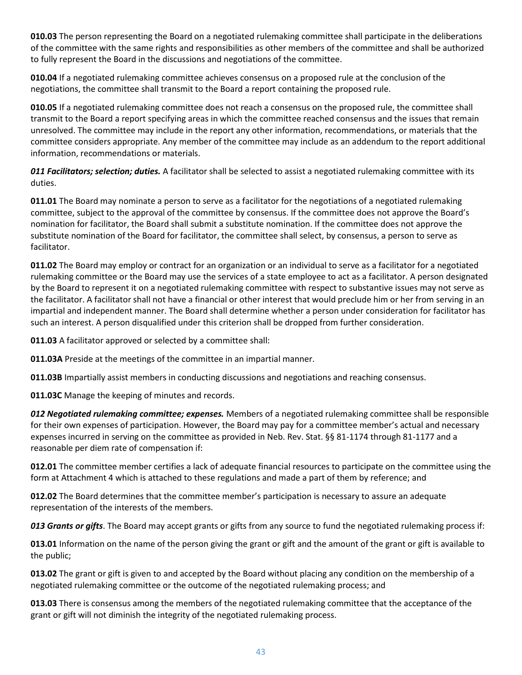**010.03** The person representing the Board on a negotiated rulemaking committee shall participate in the deliberations of the committee with the same rights and responsibilities as other members of the committee and shall be authorized to fully represent the Board in the discussions and negotiations of the committee.

**010.04** If a negotiated rulemaking committee achieves consensus on a proposed rule at the conclusion of the negotiations, the committee shall transmit to the Board a report containing the proposed rule.

**010.05** If a negotiated rulemaking committee does not reach a consensus on the proposed rule, the committee shall transmit to the Board a report specifying areas in which the committee reached consensus and the issues that remain unresolved. The committee may include in the report any other information, recommendations, or materials that the committee considers appropriate. Any member of the committee may include as an addendum to the report additional information, recommendations or materials.

*011 Facilitators; selection; duties.* A facilitator shall be selected to assist a negotiated rulemaking committee with its duties.

**011.01** The Board may nominate a person to serve as a facilitator for the negotiations of a negotiated rulemaking committee, subject to the approval of the committee by consensus. If the committee does not approve the Board's nomination for facilitator, the Board shall submit a substitute nomination. If the committee does not approve the substitute nomination of the Board for facilitator, the committee shall select, by consensus, a person to serve as facilitator.

**011.02** The Board may employ or contract for an organization or an individual to serve as a facilitator for a negotiated rulemaking committee or the Board may use the services of a state employee to act as a facilitator. A person designated by the Board to represent it on a negotiated rulemaking committee with respect to substantive issues may not serve as the facilitator. A facilitator shall not have a financial or other interest that would preclude him or her from serving in an impartial and independent manner. The Board shall determine whether a person under consideration for facilitator has such an interest. A person disqualified under this criterion shall be dropped from further consideration.

**011.03** A facilitator approved or selected by a committee shall:

**011.03A** Preside at the meetings of the committee in an impartial manner.

**011.03B** Impartially assist members in conducting discussions and negotiations and reaching consensus.

**011.03C** Manage the keeping of minutes and records.

*012 Negotiated rulemaking committee; expenses.* Members of a negotiated rulemaking committee shall be responsible for their own expenses of participation. However, the Board may pay for a committee member's actual and necessary expenses incurred in serving on the committee as provided in Neb. Rev. Stat. §§ 81-1174 through 81-1177 and a reasonable per diem rate of compensation if:

**012.01** The committee member certifies a lack of adequate financial resources to participate on the committee using the form at Attachment 4 which is attached to these regulations and made a part of them by reference; and

**012.02** The Board determines that the committee member's participation is necessary to assure an adequate representation of the interests of the members.

*013 Grants or gifts*. The Board may accept grants or gifts from any source to fund the negotiated rulemaking process if:

**013.01** Information on the name of the person giving the grant or gift and the amount of the grant or gift is available to the public;

**013.02** The grant or gift is given to and accepted by the Board without placing any condition on the membership of a negotiated rulemaking committee or the outcome of the negotiated rulemaking process; and

**013.03** There is consensus among the members of the negotiated rulemaking committee that the acceptance of the grant or gift will not diminish the integrity of the negotiated rulemaking process.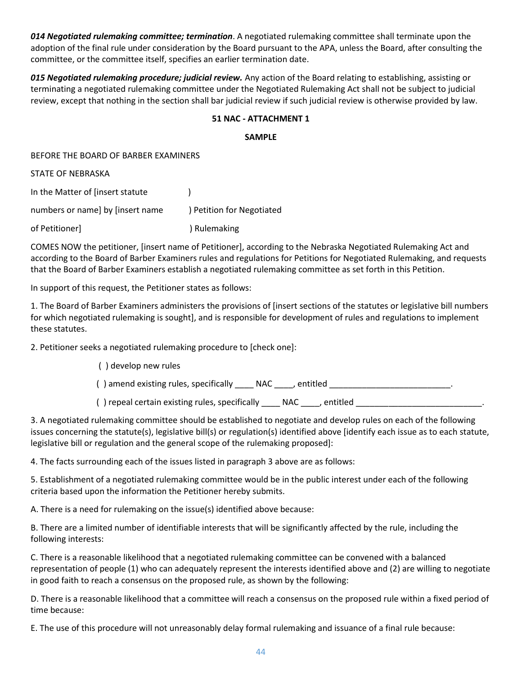*014 Negotiated rulemaking committee; termination*. A negotiated rulemaking committee shall terminate upon the adoption of the final rule under consideration by the Board pursuant to the APA, unless the Board, after consulting the committee, or the committee itself, specifies an earlier termination date.

*015 Negotiated rulemaking procedure; judicial review.* Any action of the Board relating to establishing, assisting or terminating a negotiated rulemaking committee under the Negotiated Rulemaking Act shall not be subject to judicial review, except that nothing in the section shall bar judicial review if such judicial review is otherwise provided by law.

#### **51 NAC - ATTACHMENT 1**

#### **SAMPLE**

BEFORE THE BOARD OF BARBER EXAMINERS

STATE OF NEBRASKA

In the Matter of [insert statute ) numbers or name] by [insert name ) Petition for Negotiated

COMES NOW the petitioner, [insert name of Petitioner], according to the Nebraska Negotiated Rulemaking Act and according to the Board of Barber Examiners rules and regulations for Petitions for Negotiated Rulemaking, and requests that the Board of Barber Examiners establish a negotiated rulemaking committee as set forth in this Petition.

In support of this request, the Petitioner states as follows:

of Petitioner] ) Rulemaking

1. The Board of Barber Examiners administers the provisions of [insert sections of the statutes or legislative bill numbers for which negotiated rulemaking is sought], and is responsible for development of rules and regulations to implement these statutes.

2. Petitioner seeks a negotiated rulemaking procedure to [check one]:

( ) develop new rules

() amend existing rules, specifically \_\_\_\_ NAC \_\_\_\_, entitled \_\_\_\_\_\_\_\_\_\_\_\_\_\_\_\_\_\_\_

() repeal certain existing rules, specifically \_\_\_\_ NAC \_\_\_\_, entitled \_\_\_\_\_\_\_\_\_

3. A negotiated rulemaking committee should be established to negotiate and develop rules on each of the following issues concerning the statute(s), legislative bill(s) or regulation(s) identified above [identify each issue as to each statute, legislative bill or regulation and the general scope of the rulemaking proposed]:

4. The facts surrounding each of the issues listed in paragraph 3 above are as follows:

5. Establishment of a negotiated rulemaking committee would be in the public interest under each of the following criteria based upon the information the Petitioner hereby submits.

A. There is a need for rulemaking on the issue(s) identified above because:

B. There are a limited number of identifiable interests that will be significantly affected by the rule, including the following interests:

C. There is a reasonable likelihood that a negotiated rulemaking committee can be convened with a balanced representation of people (1) who can adequately represent the interests identified above and (2) are willing to negotiate in good faith to reach a consensus on the proposed rule, as shown by the following:

D. There is a reasonable likelihood that a committee will reach a consensus on the proposed rule within a fixed period of time because:

E. The use of this procedure will not unreasonably delay formal rulemaking and issuance of a final rule because: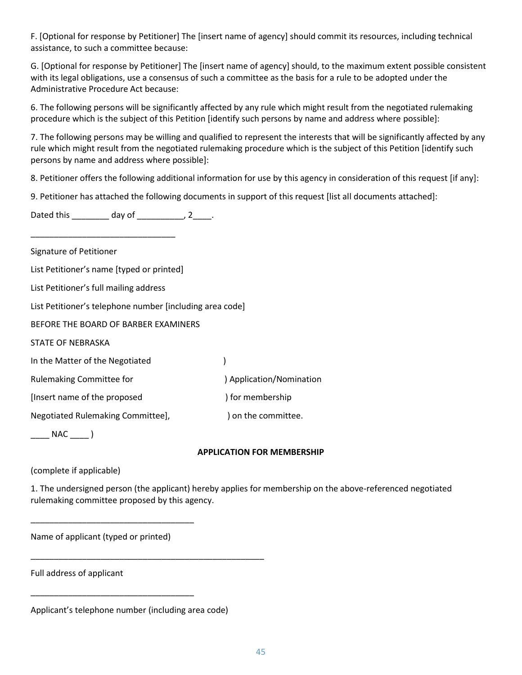F. [Optional for response by Petitioner] The [insert name of agency] should commit its resources, including technical assistance, to such a committee because:

G. [Optional for response by Petitioner] The [insert name of agency] should, to the maximum extent possible consistent with its legal obligations, use a consensus of such a committee as the basis for a rule to be adopted under the Administrative Procedure Act because:

6. The following persons will be significantly affected by any rule which might result from the negotiated rulemaking procedure which is the subject of this Petition [identify such persons by name and address where possible]:

7. The following persons may be willing and qualified to represent the interests that will be significantly affected by any rule which might result from the negotiated rulemaking procedure which is the subject of this Petition [identify such persons by name and address where possible]:

8. Petitioner offers the following additional information for use by this agency in consideration of this request [if any]:

9. Petitioner has attached the following documents in support of this request [list all documents attached]:

Dated this \_\_\_\_\_\_\_\_ day of \_\_\_\_\_\_\_\_\_, 2\_\_\_\_.

Signature of Petitioner

List Petitioner's name [typed or printed]

\_\_\_\_\_\_\_\_\_\_\_\_\_\_\_\_\_\_\_\_\_\_\_\_\_\_\_\_\_\_\_

List Petitioner's full mailing address

List Petitioner's telephone number [including area code]

BEFORE THE BOARD OF BARBER EXAMINERS

STATE OF NEBRASKA

In the Matter of the Negotiated ) Rulemaking Committee for (a) application/Nomination [Insert name of the proposed ) for membership Negotiated Rulemaking Committee], ) on the committee.

 $\rule{1em}{0.15mm}$  NAC  $\rule{1em}{0.15mm}$  )

#### **APPLICATION FOR MEMBERSHIP**

(complete if applicable)

1. The undersigned person (the applicant) hereby applies for membership on the above-referenced negotiated rulemaking committee proposed by this agency.

Name of applicant (typed or printed)

\_\_\_\_\_\_\_\_\_\_\_\_\_\_\_\_\_\_\_\_\_\_\_\_\_\_\_\_\_\_\_\_\_\_\_

\_\_\_\_\_\_\_\_\_\_\_\_\_\_\_\_\_\_\_\_\_\_\_\_\_\_\_\_\_\_\_\_\_\_\_

Full address of applicant

\_\_\_\_\_\_\_\_\_\_\_\_\_\_\_\_\_\_\_\_\_\_\_\_\_\_\_\_\_\_\_\_\_\_\_\_\_\_\_\_\_\_\_\_\_\_\_\_\_\_

Applicant's telephone number (including area code)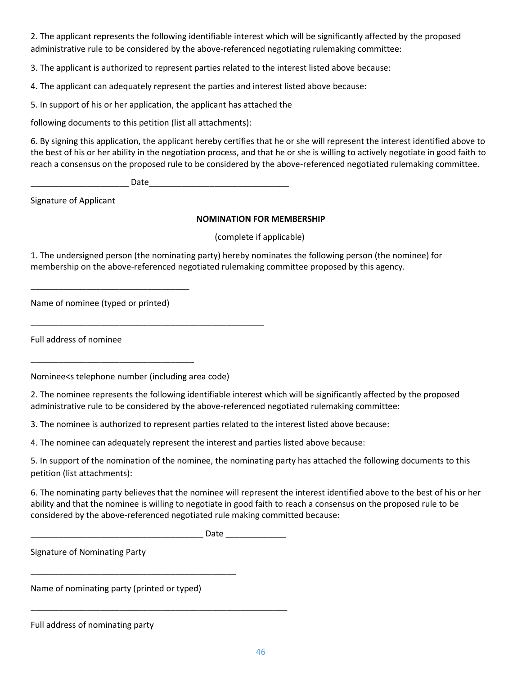2. The applicant represents the following identifiable interest which will be significantly affected by the proposed administrative rule to be considered by the above-referenced negotiating rulemaking committee:

3. The applicant is authorized to represent parties related to the interest listed above because:

4. The applicant can adequately represent the parties and interest listed above because:

5. In support of his or her application, the applicant has attached the

following documents to this petition (list all attachments):

6. By signing this application, the applicant hereby certifies that he or she will represent the interest identified above to the best of his or her ability in the negotiation process, and that he or she is willing to actively negotiate in good faith to reach a consensus on the proposed rule to be considered by the above-referenced negotiated rulemaking committee.

\_\_\_\_\_\_\_\_\_\_\_\_\_\_\_\_\_\_\_\_\_ Date\_\_\_\_\_\_\_\_\_\_\_\_\_\_\_\_\_\_\_\_\_\_\_\_\_\_\_\_\_\_

Signature of Applicant

#### **NOMINATION FOR MEMBERSHIP**

(complete if applicable)

1. The undersigned person (the nominating party) hereby nominates the following person (the nominee) for membership on the above-referenced negotiated rulemaking committee proposed by this agency.

Name of nominee (typed or printed)

\_\_\_\_\_\_\_\_\_\_\_\_\_\_\_\_\_\_\_\_\_\_\_\_\_\_\_\_\_\_\_\_\_\_

\_\_\_\_\_\_\_\_\_\_\_\_\_\_\_\_\_\_\_\_\_\_\_\_\_\_\_\_\_\_\_\_\_\_\_

Full address of nominee

Nominee<s telephone number (including area code)

\_\_\_\_\_\_\_\_\_\_\_\_\_\_\_\_\_\_\_\_\_\_\_\_\_\_\_\_\_\_\_\_\_\_\_\_\_\_\_\_\_\_\_\_\_\_\_\_\_\_

2. The nominee represents the following identifiable interest which will be significantly affected by the proposed administrative rule to be considered by the above-referenced negotiated rulemaking committee:

3. The nominee is authorized to represent parties related to the interest listed above because:

4. The nominee can adequately represent the interest and parties listed above because:

5. In support of the nomination of the nominee, the nominating party has attached the following documents to this petition (list attachments):

6. The nominating party believes that the nominee will represent the interest identified above to the best of his or her ability and that the nominee is willing to negotiate in good faith to reach a consensus on the proposed rule to be considered by the above-referenced negotiated rule making committed because:

\_\_\_\_\_\_\_\_\_\_\_\_\_\_\_\_\_\_\_\_\_\_\_\_\_\_\_\_\_\_\_\_\_\_\_\_\_ Date \_\_\_\_\_\_\_\_\_\_\_\_\_

Signature of Nominating Party

Name of nominating party (printed or typed)

\_\_\_\_\_\_\_\_\_\_\_\_\_\_\_\_\_\_\_\_\_\_\_\_\_\_\_\_\_\_\_\_\_\_\_\_\_\_\_\_\_\_\_\_

\_\_\_\_\_\_\_\_\_\_\_\_\_\_\_\_\_\_\_\_\_\_\_\_\_\_\_\_\_\_\_\_\_\_\_\_\_\_\_\_\_\_\_\_\_\_\_\_\_\_\_\_\_\_\_

Full address of nominating party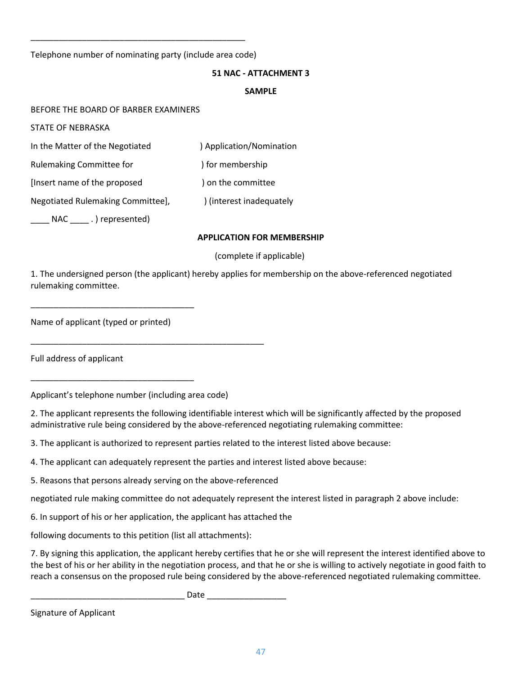Telephone number of nominating party (include area code)

\_\_\_\_\_\_\_\_\_\_\_\_\_\_\_\_\_\_\_\_\_\_\_\_\_\_\_\_\_\_\_\_\_\_\_\_\_\_\_\_\_\_\_\_\_\_

#### **51 NAC - ATTACHMENT 3**

#### **SAMPLE**

BEFORE THE BOARD OF BARBER EXAMINERS

STATE OF NEBRASKA

In the Matter of the Negotiated ) Application/Nomination

Rulemaking Committee for (a) a percent of the problems (Rulemaking Committee for

[Insert name of the proposed ) on the committee

Negotiated Rulemaking Committee],  $\qquad$  ) (interest inadequately

 $\Box$  NAC  $\Box$ . ) represented)

#### **APPLICATION FOR MEMBERSHIP**

#### (complete if applicable)

1. The undersigned person (the applicant) hereby applies for membership on the above-referenced negotiated rulemaking committee.

Name of applicant (typed or printed)

\_\_\_\_\_\_\_\_\_\_\_\_\_\_\_\_\_\_\_\_\_\_\_\_\_\_\_\_\_\_\_\_\_\_\_

\_\_\_\_\_\_\_\_\_\_\_\_\_\_\_\_\_\_\_\_\_\_\_\_\_\_\_\_\_\_\_\_\_\_\_

Full address of applicant

Applicant's telephone number (including area code)

\_\_\_\_\_\_\_\_\_\_\_\_\_\_\_\_\_\_\_\_\_\_\_\_\_\_\_\_\_\_\_\_\_\_\_\_\_\_\_\_\_\_\_\_\_\_\_\_\_\_

2. The applicant represents the following identifiable interest which will be significantly affected by the proposed administrative rule being considered by the above-referenced negotiating rulemaking committee:

3. The applicant is authorized to represent parties related to the interest listed above because:

4. The applicant can adequately represent the parties and interest listed above because:

5. Reasons that persons already serving on the above-referenced

negotiated rule making committee do not adequately represent the interest listed in paragraph 2 above include:

6. In support of his or her application, the applicant has attached the

following documents to this petition (list all attachments):

7. By signing this application, the applicant hereby certifies that he or she will represent the interest identified above to the best of his or her ability in the negotiation process, and that he or she is willing to actively negotiate in good faith to reach a consensus on the proposed rule being considered by the above-referenced negotiated rulemaking committee.

\_\_\_\_\_\_\_\_\_\_\_\_\_\_\_\_\_\_\_\_\_\_\_\_\_\_\_\_\_\_\_\_\_ Date \_\_\_\_\_\_\_\_\_\_\_\_\_\_\_\_\_

Signature of Applicant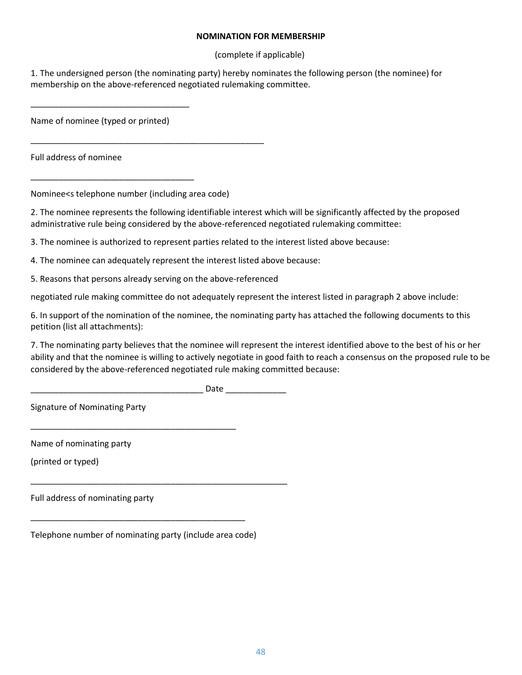#### **NOMINATION FOR MEMBERSHIP**

(complete if applicable)

1. The undersigned person (the nominating party) hereby nominates the following person (the nominee) for membership on the above-referenced negotiated rulemaking committee.

Name of nominee (typed or printed)

\_\_\_\_\_\_\_\_\_\_\_\_\_\_\_\_\_\_\_\_\_\_\_\_\_\_\_\_\_\_\_\_\_\_

\_\_\_\_\_\_\_\_\_\_\_\_\_\_\_\_\_\_\_\_\_\_\_\_\_\_\_\_\_\_\_\_\_\_\_

Full address of nominee

Nominee<s telephone number (including area code)

\_\_\_\_\_\_\_\_\_\_\_\_\_\_\_\_\_\_\_\_\_\_\_\_\_\_\_\_\_\_\_\_\_\_\_\_\_\_\_\_\_\_\_\_\_\_\_\_\_\_

2. The nominee represents the following identifiable interest which will be significantly affected by the proposed administrative rule being considered by the above-referenced negotiated rulemaking committee:

3. The nominee is authorized to represent parties related to the interest listed above because:

4. The nominee can adequately represent the interest listed above because:

5. Reasons that persons already serving on the above-referenced

negotiated rule making committee do not adequately represent the interest listed in paragraph 2 above include:

6. In support of the nomination of the nominee, the nominating party has attached the following documents to this petition (list all attachments):

7. The nominating party believes that the nominee will represent the interest identified above to the best of his or her ability and that the nominee is willing to actively negotiate in good faith to reach a consensus on the proposed rule to be considered by the above-referenced negotiated rule making committed because:

\_\_\_\_\_\_\_\_\_\_\_\_\_\_\_\_\_\_\_\_\_\_\_\_\_\_\_\_\_\_\_\_\_\_\_\_\_ Date \_\_\_\_\_\_\_\_\_\_\_\_\_

Signature of Nominating Party

Name of nominating party

(printed or typed)

Full address of nominating party

Telephone number of nominating party (include area code)

\_\_\_\_\_\_\_\_\_\_\_\_\_\_\_\_\_\_\_\_\_\_\_\_\_\_\_\_\_\_\_\_\_\_\_\_\_\_\_\_\_\_\_\_\_\_

\_\_\_\_\_\_\_\_\_\_\_\_\_\_\_\_\_\_\_\_\_\_\_\_\_\_\_\_\_\_\_\_\_\_\_\_\_\_\_\_\_\_\_\_\_\_\_\_\_\_\_\_\_\_\_

\_\_\_\_\_\_\_\_\_\_\_\_\_\_\_\_\_\_\_\_\_\_\_\_\_\_\_\_\_\_\_\_\_\_\_\_\_\_\_\_\_\_\_\_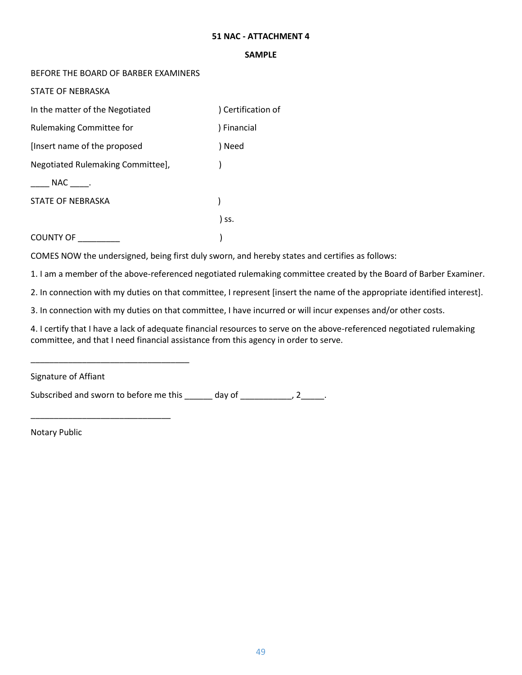#### **51 NAC - ATTACHMENT 4**

#### **SAMPLE**

#### BEFORE THE BOARD OF BARBER EXAMINERS

STATE OF NEBRASKA

| In the matter of the Negotiated   | Certification of |
|-----------------------------------|------------------|
| <b>Rulemaking Committee for</b>   | ) Financial      |
| [Insert name of the proposed      | ) Need           |
| Negotiated Rulemaking Committee], |                  |
| NAC .                             |                  |
| STATE OF NEBRASKA                 |                  |
|                                   | ) ss.            |
| <b>COUNTY OF</b>                  |                  |

COMES NOW the undersigned, being first duly sworn, and hereby states and certifies as follows:

1. I am a member of the above-referenced negotiated rulemaking committee created by the Board of Barber Examiner.

2. In connection with my duties on that committee, I represent [insert the name of the appropriate identified interest].

3. In connection with my duties on that committee, I have incurred or will incur expenses and/or other costs.

4. I certify that I have a lack of adequate financial resources to serve on the above-referenced negotiated rulemaking committee, and that I need financial assistance from this agency in order to serve.

Signature of Affiant

\_\_\_\_\_\_\_\_\_\_\_\_\_\_\_\_\_\_\_\_\_\_\_\_\_\_\_\_\_\_\_\_\_\_

\_\_\_\_\_\_\_\_\_\_\_\_\_\_\_\_\_\_\_\_\_\_\_\_\_\_\_\_\_\_

Subscribed and sworn to before me this \_\_\_\_\_\_ day of \_\_\_\_\_\_\_\_\_, 2\_\_\_\_.

Notary Public